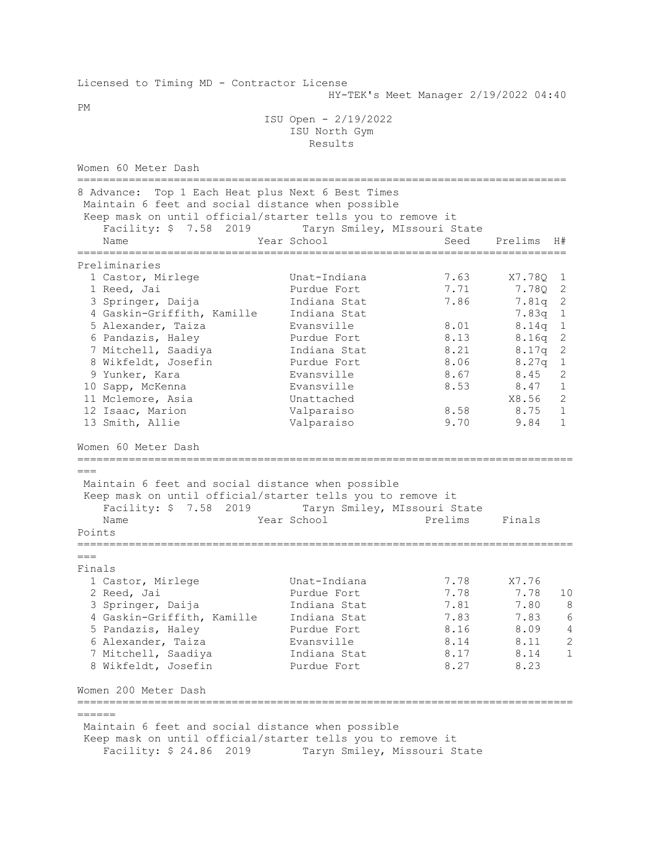| Licensed to Timing MD - Contractor License                                                                      |                                             |                                       |         |                |
|-----------------------------------------------------------------------------------------------------------------|---------------------------------------------|---------------------------------------|---------|----------------|
| PМ                                                                                                              |                                             | HY-TEK's Meet Manager 2/19/2022 04:40 |         |                |
|                                                                                                                 | ISU Open - 2/19/2022                        |                                       |         |                |
|                                                                                                                 | ISU North Gym<br>Results                    |                                       |         |                |
|                                                                                                                 |                                             |                                       |         |                |
| Women 60 Meter Dash<br>===================                                                                      |                                             |                                       |         |                |
| 8 Advance: Top 1 Each Heat plus Next 6 Best Times                                                               |                                             |                                       |         |                |
| Maintain 6 feet and social distance when possible                                                               |                                             |                                       |         |                |
| Keep mask on until official/starter tells you to remove it                                                      |                                             |                                       |         |                |
| Facility: \$ 7.58 2019<br>Name                                                                                  | Taryn Smiley, MIssouri State<br>Year School | Seed                                  | Prelims | H#             |
|                                                                                                                 |                                             |                                       |         |                |
| Preliminaries                                                                                                   |                                             |                                       |         |                |
| 1 Castor, Mirlege                                                                                               | Unat-Indiana                                | 7.63                                  | X7.78Q  | 1              |
| 1 Reed, Jai                                                                                                     | Purdue Fort                                 | 7.71                                  | 7.78Q   | 2              |
| 3 Springer, Daija                                                                                               | Indiana Stat                                | 7.86                                  | 7.81q 2 |                |
| 4 Gaskin-Griffith, Kamille                                                                                      | Indiana Stat                                |                                       | 7.83q   | $\mathbf{1}$   |
| 5 Alexander, Taiza                                                                                              | Evansville                                  | 8.01                                  | 8.14q   | $\mathbf{1}$   |
| 6 Pandazis, Haley                                                                                               | Purdue Fort                                 | 8.13                                  | 8.16q   | 2              |
| 7 Mitchell, Saadiya                                                                                             | Indiana Stat                                | 8.21                                  | 8.17q   | $\overline{c}$ |
| 8 Wikfeldt, Josefin                                                                                             | Purdue Fort                                 | 8.06                                  | 8.27q   | $\mathbf{1}$   |
| 9 Yunker, Kara                                                                                                  | Evansville                                  | 8.67                                  | 8.45    | 2              |
| 10 Sapp, McKenna                                                                                                | Evansville                                  | 8.53                                  | 8.47    | $\mathbf{1}$   |
| 11 Mclemore, Asia                                                                                               | Unattached                                  |                                       | X8.56   | 2              |
| 12 Isaac, Marion                                                                                                | Valparaiso                                  | 8.58                                  | 8.75    | $\mathbf 1$    |
| 13 Smith, Allie                                                                                                 | Valparaiso                                  | 9.70                                  | 9.84    | $\mathbf{1}$   |
| Women 60 Meter Dash                                                                                             |                                             |                                       |         |                |
| $===$                                                                                                           |                                             |                                       |         |                |
| Maintain 6 feet and social distance when possible                                                               |                                             |                                       |         |                |
| Keep mask on until official/starter tells you to remove it                                                      |                                             |                                       |         |                |
| Facility: \$ 7.58 2019                                                                                          | Taryn Smiley, MIssouri State                |                                       |         |                |
| Name                                                                                                            | Year School                                 | Prelims                               | Finals  |                |
| Points                                                                                                          |                                             |                                       |         |                |
| $===$                                                                                                           |                                             |                                       |         |                |
| Finals                                                                                                          |                                             |                                       |         |                |
| 1 Castor, Mirlege                                                                                               | Unat-Indiana                                | 7.78                                  | X7.76   |                |
| 2 Reed, Jai                                                                                                     | Purdue Fort                                 | 7.78                                  | 7.78    | 10             |
| 3 Springer, Daija                                                                                               | Indiana Stat                                | 7.81                                  | 7.80    | 8              |
| 4 Gaskin-Griffith, Kamille                                                                                      | Indiana Stat                                | 7.83                                  | 7.83    | 6              |
| 5 Pandazis, Haley                                                                                               | Purdue Fort                                 | 8.16                                  | 8.09    | $\overline{4}$ |
| 6 Alexander, Taiza                                                                                              | Evansville                                  | 8.14                                  | 8.11    | $\mathbf{2}$   |
| 7 Mitchell, Saadiya                                                                                             | Indiana Stat                                | 8.17                                  | 8.14    | $\mathbf{1}$   |
| 8 Wikfeldt, Josefin                                                                                             | Purdue Fort                                 | 8.27                                  | 8.23    |                |
| Women 200 Meter Dash                                                                                            |                                             |                                       |         |                |
| ==================================<br>======                                                                    |                                             | ==============================        |         |                |
|                                                                                                                 |                                             |                                       |         |                |
| Maintain 6 feet and social distance when possible<br>Keep mask on until official/starter tells you to remove it |                                             |                                       |         |                |
| Facility: \$ 24.86<br>2019                                                                                      | Taryn Smiley, Missouri State                |                                       |         |                |
|                                                                                                                 |                                             |                                       |         |                |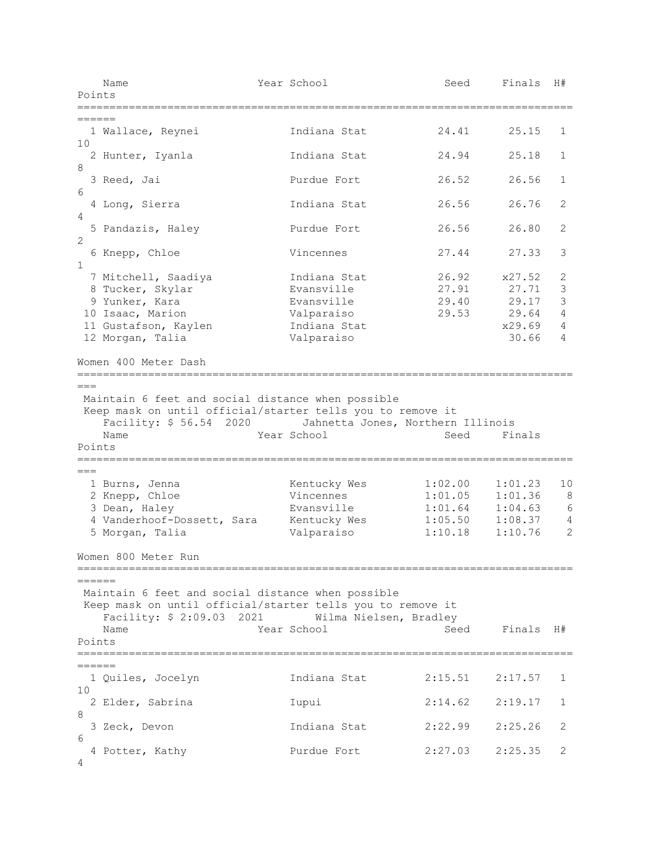| Name<br>Points                                                                                                                                                                                         | Year School |                        | Seed               | Finals             | H#           |
|--------------------------------------------------------------------------------------------------------------------------------------------------------------------------------------------------------|-------------|------------------------|--------------------|--------------------|--------------|
| ======                                                                                                                                                                                                 |             |                        |                    |                    |              |
| 1 Wallace, Reynei<br>10                                                                                                                                                                                |             | Indiana Stat           | 24.41              | 25.15              | 1            |
| 2 Hunter, Iyanla                                                                                                                                                                                       |             | Indiana Stat           | 24.94              | 25.18              | 1            |
| 8<br>3 Reed, Jai                                                                                                                                                                                       |             | Purdue Fort            | 26.52              | 26.56              | 1            |
| 6<br>4 Long, Sierra                                                                                                                                                                                    |             | Indiana Stat           | 26.56              | 26.76              | 2            |
| 4<br>5 Pandazis, Haley                                                                                                                                                                                 |             | Purdue Fort            | 26.56              | 26.80              | 2            |
| 2<br>6 Knepp, Chloe                                                                                                                                                                                    |             | Vincennes              | 27.44              | 27.33              | 3            |
| $\mathbf{1}$<br>7 Mitchell, Saadiya                                                                                                                                                                    |             | Indiana Stat           | 26.92              | x27.52             | 2            |
| 8 Tucker, Skylar                                                                                                                                                                                       |             | Evansville             | 27.91              | 27.71              | 3            |
|                                                                                                                                                                                                        |             |                        |                    |                    | 3            |
| 9 Yunker, Kara                                                                                                                                                                                         |             | Evansville             | 29.40              | 29.17              |              |
| 10 Isaac, Marion                                                                                                                                                                                       |             | Valparaiso             | 29.53              | 29.64              | 4            |
| 11 Gustafson, Kaylen                                                                                                                                                                                   |             | Indiana Stat           |                    | x29.69             | 4            |
| 12 Morgan, Talia                                                                                                                                                                                       |             | Valparaiso             |                    | 30.66              | 4            |
|                                                                                                                                                                                                        |             |                        |                    |                    |              |
| Maintain 6 feet and social distance when possible<br>Keep mask on until official/starter tells you to remove it<br>Facility: \$ 56.54 2020 Jahnetta Jones, Northern Illinois<br>Name<br>1 Burns, Jenna | Year School | Kentucky Wes           | Seed<br>1:02.00    | Finals<br>1:01.23  |              |
| 2 Knepp, Chloe                                                                                                                                                                                         |             | Vincennes              | 1:01.05            | 1:01.36            |              |
| 3 Dean, Haley                                                                                                                                                                                          |             | Evansville             | 1:01.64            | 1:04.63            |              |
| 4 Vanderhoof-Dossett, Sara                                                                                                                                                                             |             | Kentucky Wes           | 1:05.50<br>1:10.18 | 1:08.37<br>1:10.76 |              |
| 5 Morgan, Talia                                                                                                                                                                                        |             | Valparaiso             |                    |                    |              |
| Points<br>$==$<br>Women 800 Meter Run<br>——————                                                                                                                                                        |             |                        |                    |                    |              |
| Maintain 6 feet and social distance when possible<br>Keep mask on until official/starter tells you to remove it<br>Facility: \$ 2:09.03 2021<br>Name<br>Points                                         | Year School | Wilma Nielsen, Bradley | Seed               | Finals H#          |              |
|                                                                                                                                                                                                        |             |                        |                    |                    |              |
| 1 Quiles, Jocelyn                                                                                                                                                                                      |             | Indiana Stat           | 2:15.51            | 2:17.57            |              |
| 2 Elder, Sabrina                                                                                                                                                                                       |             | Iupui                  | 2:14.62            | 2:19.17            | 10<br>1<br>1 |
| ======<br>10<br>8<br>3 Zeck, Devon<br>6                                                                                                                                                                |             | Indiana Stat           | 2:22.99            | 2:25.26            | 2            |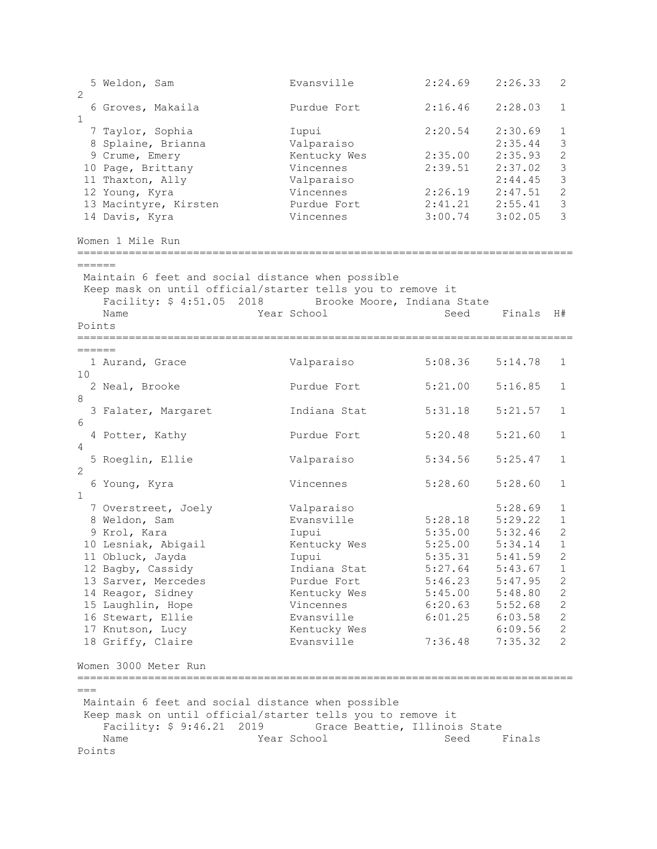5 Weldon, Sam Evansville 2:24.69 2:26.33 2  $\mathcal{D}$  6 Groves, Makaila Purdue Fort 2:16.46 2:28.03 1 1 1 Taylor, Sophia 1 Iupui 2:20.54 2:30.69 1<br>
8 Splaine, Brianna 1 Valparaiso 2:35.44 3<br>
9 Crume, Emery 1 Kentucky Wes 2:35.00 2:35.93 2 8 Splaine, Brianna Valparaiso 2:35.44 3 9 Crume, Emery Kentucky Wes 2:35.00 2:35.93 2 10 Page, Brittany Vincennes 2:39.51 2:37.02 3 11 Thaxton, Ally Valparaiso 2:44.45 3 12 Young, Kyra Vincennes 2:26.19 2:47.51 2 13 Macintyre, Kirsten Purdue Fort 2:41.21 2:55.41 3 14 Davis, Kyra Vincennes 3:00.74 3:02.05 3 Women 1 Mile Run =============================================================================  $=$ Maintain 6 feet and social distance when possible Keep mask on until official/starter tells you to remove it Facility: \$ 4:51.05 2018 Brooke Moore, Indiana State<br>Name Year School Seed Seed Finals H# Points ============================================================================= =======<br>1 Aurand, Grace Valparaiso 5:08.36 5:14.78 1 10<br>2 Neal, Brooke Purdue Fort 5:21.00 5:16.85 1 8 3 Falater, Margaret Indiana Stat 5:31.18 5:21.57 1 6<br>4 Potter, Kathy Purdue Fort 5:20.48 5:21.60 1  $\Lambda$  5 Roeglin, Ellie Valparaiso 5:34.56 5:25.47 1 2 6 Young, Kyra Vincennes 5:28.60 5:28.60 1 1 7 Overstreet, Joely Valparaiso 5:28.69 1 8 Weldon, Sam Evansville 5:28.18 5:29.22 1 9 Krol, Kara Iupui 5:35.00 5:32.46 2 10 Lesniak, Abigail Kentucky Wes 5:25.00 5:34.14 1 11 Obluck, Jayda Iupui 5:35.31 5:41.59 2 12 Bagby, Cassidy Indiana Stat 5:27.64 5:43.67 1 13 Sarver, Mercedes Purdue Fort 5:46.23 5:47.95 2 14 Reagor, Sidney Kentucky Wes 5:45.00 5:48.80 2 15 Laughlin, Hope Vincennes 6:20.63 5:52.68 2 16 Stewart, Ellie Evansville 6:01.25 6:03.58 2 17 Knutson, Lucy Kentucky Wes 6:09.56 2 18 Griffy, Claire Evansville 7:36.48 7:35.32 2 Women 3000 Meter Run ============================================================================= === Maintain 6 feet and social distance when possible Keep mask on until official/starter tells you to remove it Facility: \$ 9:46.21 2019 Grace Beattie, Illinois State<br>Name Mame Seed School Seed Seed Finals Points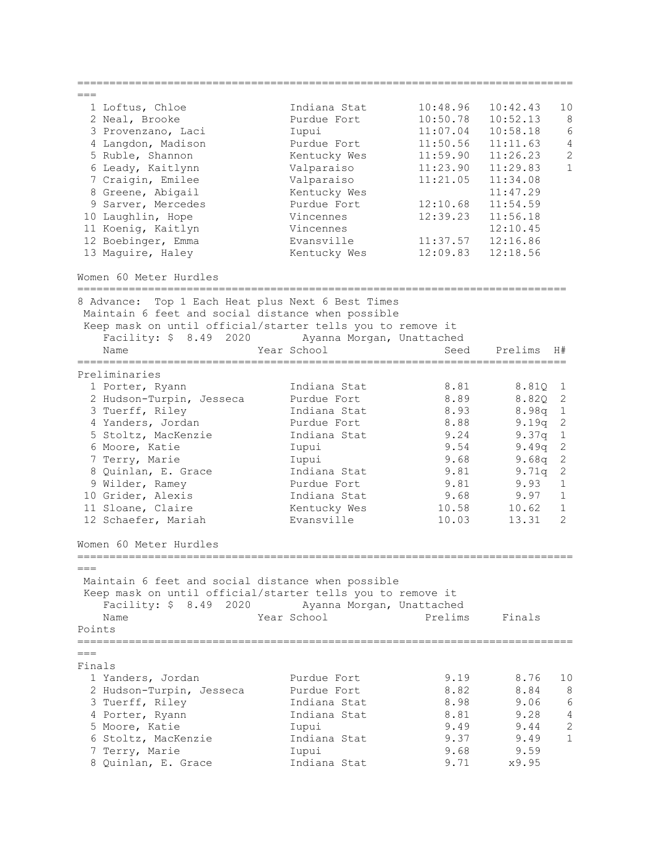| 10:48.96<br>10:42.43<br>Indiana Stat<br>10<br>1 Loftus, Chloe<br>10:50.78<br>8<br>2 Neal, Brooke<br>Purdue Fort<br>10:52.13<br>$\epsilon$<br>11:07.04<br>10:58.18<br>3 Provenzano, Laci<br>Iupui<br>4<br>4 Langdon, Madison<br>Purdue Fort<br>11:50.56<br>11:11.63<br>$\overline{c}$<br>11:59.90<br>11:26.23<br>5 Ruble, Shannon<br>Kentucky Wes<br>$\mathbf{1}$<br>6 Leady, Kaitlynn<br>Valparaiso<br>11:23.90<br>11:29.83<br>Valparaiso<br>7 Craigin, Emilee<br>11:21.05<br>11:34.08<br>8 Greene, Abigail<br>Kentucky Wes<br>11:47.29<br>Purdue Fort<br>9 Sarver, Mercedes<br>12:10.68<br>11:54.59<br>10 Laughlin, Hope<br>12:39.23<br>Vincennes<br>11:56.18<br>11 Koenig, Kaitlyn<br>Vincennes<br>12:10.45<br>12 Boebinger, Emma<br>Evansville<br>11:37.57<br>12:16.86<br>12:18.56<br>13 Maguire, Haley<br>Kentucky Wes<br>12:09.83<br>Women 60 Meter Hurdles<br>8 Advance: Top 1 Each Heat plus Next 6 Best Times<br>Maintain 6 feet and social distance when possible<br>Keep mask on until official/starter tells you to remove it<br>2020 Ayanna Morgan, Unattached<br>Facility: $$8.49$<br>Year School<br>Name<br>Seed<br>Prelims<br>H#<br>==============<br>=======================<br>========================<br>Preliminaries<br>Indiana Stat<br>8.81<br>8.81Q<br>1 Porter, Ryann<br>$\mathbf 1$<br>$\mathbf{2}$<br>2 Hudson-Turpin, Jesseca<br>Purdue Fort<br>8.89<br>8.82Q<br>$1\,$<br>3 Tuerff, Riley<br>8.93<br>Indiana Stat<br>8.98q<br>4 Yanders, Jordan<br>8.88<br>$\mathbf{2}$<br>Purdue Fort<br>9.19q<br>$\mathbf 1$<br>5 Stoltz, MacKenzie<br>Indiana Stat<br>9.24<br>9.37q<br>9.54<br>2<br>6 Moore, Katie<br>Iupui<br>9.49q<br>$\mathbf{2}$<br>9.68<br>7 Terry, Marie<br>Iupui<br>9.68q<br>$\mathbf{2}$<br>8 Quinlan, E. Grace<br>Indiana Stat<br>9.81<br>9.71q<br>9 Wilder, Ramey<br>Purdue Fort<br>9.81<br>9.93<br>$\mathbf 1$<br>9.68<br>$\mathbf 1$<br>10 Grider, Alexis<br>Indiana Stat<br>9.97<br>11 Sloane, Claire<br>Kentucky Wes<br>10.58<br>10.62<br>$\mathbf 1$<br>Evansville<br>$\mathfrak{D}$<br>12 Schaefer, Mariah<br>10.03<br>13.31<br>Women 60 Meter Hurdles<br>=====================<br>$===$<br>Maintain 6 feet and social distance when possible<br>Keep mask on until official/starter tells you to remove it<br>Facility: \$ 8.49 2020<br>Ayanna Morgan, Unattached<br>Prelims<br>Name<br>Year School<br>Finals<br>Points<br>$===$<br>Finals<br>8.76<br>1 Yanders, Jordan<br>Purdue Fort<br>9.19<br>10<br>2 Hudson-Turpin, Jesseca<br>Purdue Fort<br>8.82<br>8.84<br>8<br>6<br>Indiana Stat<br>8.98<br>9.06<br>3 Tuerff, Riley<br>$\overline{4}$<br>Indiana Stat<br>8.81<br>9.28<br>4 Porter, Ryann<br>$\overline{c}$<br>9.49<br>9.44<br>5 Moore, Katie<br>Iupui<br>$\mathbf{1}$<br>Indiana Stat<br>9.37<br>6 Stoltz, MacKenzie<br>9.49<br>7 Terry, Marie<br>Iupui<br>9.68<br>9.59<br>8 Quinlan, E. Grace<br>Indiana Stat<br>9.71<br>x9.95 |  |  |  |
|-----------------------------------------------------------------------------------------------------------------------------------------------------------------------------------------------------------------------------------------------------------------------------------------------------------------------------------------------------------------------------------------------------------------------------------------------------------------------------------------------------------------------------------------------------------------------------------------------------------------------------------------------------------------------------------------------------------------------------------------------------------------------------------------------------------------------------------------------------------------------------------------------------------------------------------------------------------------------------------------------------------------------------------------------------------------------------------------------------------------------------------------------------------------------------------------------------------------------------------------------------------------------------------------------------------------------------------------------------------------------------------------------------------------------------------------------------------------------------------------------------------------------------------------------------------------------------------------------------------------------------------------------------------------------------------------------------------------------------------------------------------------------------------------------------------------------------------------------------------------------------------------------------------------------------------------------------------------------------------------------------------------------------------------------------------------------------------------------------------------------------------------------------------------------------------------------------------------------------------------------------------------------------------------------------------------------------------------------------------------------------------------------------------------------------------------------------------------------------------------------------------------------------------------------------------------------------------------------------------------------------------------------------------------------------------------------------------------------------------------------------------------------------------------------------------------------------------------------------------------------------------------|--|--|--|
|                                                                                                                                                                                                                                                                                                                                                                                                                                                                                                                                                                                                                                                                                                                                                                                                                                                                                                                                                                                                                                                                                                                                                                                                                                                                                                                                                                                                                                                                                                                                                                                                                                                                                                                                                                                                                                                                                                                                                                                                                                                                                                                                                                                                                                                                                                                                                                                                                                                                                                                                                                                                                                                                                                                                                                                                                                                                                         |  |  |  |
|                                                                                                                                                                                                                                                                                                                                                                                                                                                                                                                                                                                                                                                                                                                                                                                                                                                                                                                                                                                                                                                                                                                                                                                                                                                                                                                                                                                                                                                                                                                                                                                                                                                                                                                                                                                                                                                                                                                                                                                                                                                                                                                                                                                                                                                                                                                                                                                                                                                                                                                                                                                                                                                                                                                                                                                                                                                                                         |  |  |  |
|                                                                                                                                                                                                                                                                                                                                                                                                                                                                                                                                                                                                                                                                                                                                                                                                                                                                                                                                                                                                                                                                                                                                                                                                                                                                                                                                                                                                                                                                                                                                                                                                                                                                                                                                                                                                                                                                                                                                                                                                                                                                                                                                                                                                                                                                                                                                                                                                                                                                                                                                                                                                                                                                                                                                                                                                                                                                                         |  |  |  |
|                                                                                                                                                                                                                                                                                                                                                                                                                                                                                                                                                                                                                                                                                                                                                                                                                                                                                                                                                                                                                                                                                                                                                                                                                                                                                                                                                                                                                                                                                                                                                                                                                                                                                                                                                                                                                                                                                                                                                                                                                                                                                                                                                                                                                                                                                                                                                                                                                                                                                                                                                                                                                                                                                                                                                                                                                                                                                         |  |  |  |
|                                                                                                                                                                                                                                                                                                                                                                                                                                                                                                                                                                                                                                                                                                                                                                                                                                                                                                                                                                                                                                                                                                                                                                                                                                                                                                                                                                                                                                                                                                                                                                                                                                                                                                                                                                                                                                                                                                                                                                                                                                                                                                                                                                                                                                                                                                                                                                                                                                                                                                                                                                                                                                                                                                                                                                                                                                                                                         |  |  |  |
|                                                                                                                                                                                                                                                                                                                                                                                                                                                                                                                                                                                                                                                                                                                                                                                                                                                                                                                                                                                                                                                                                                                                                                                                                                                                                                                                                                                                                                                                                                                                                                                                                                                                                                                                                                                                                                                                                                                                                                                                                                                                                                                                                                                                                                                                                                                                                                                                                                                                                                                                                                                                                                                                                                                                                                                                                                                                                         |  |  |  |
|                                                                                                                                                                                                                                                                                                                                                                                                                                                                                                                                                                                                                                                                                                                                                                                                                                                                                                                                                                                                                                                                                                                                                                                                                                                                                                                                                                                                                                                                                                                                                                                                                                                                                                                                                                                                                                                                                                                                                                                                                                                                                                                                                                                                                                                                                                                                                                                                                                                                                                                                                                                                                                                                                                                                                                                                                                                                                         |  |  |  |
|                                                                                                                                                                                                                                                                                                                                                                                                                                                                                                                                                                                                                                                                                                                                                                                                                                                                                                                                                                                                                                                                                                                                                                                                                                                                                                                                                                                                                                                                                                                                                                                                                                                                                                                                                                                                                                                                                                                                                                                                                                                                                                                                                                                                                                                                                                                                                                                                                                                                                                                                                                                                                                                                                                                                                                                                                                                                                         |  |  |  |
|                                                                                                                                                                                                                                                                                                                                                                                                                                                                                                                                                                                                                                                                                                                                                                                                                                                                                                                                                                                                                                                                                                                                                                                                                                                                                                                                                                                                                                                                                                                                                                                                                                                                                                                                                                                                                                                                                                                                                                                                                                                                                                                                                                                                                                                                                                                                                                                                                                                                                                                                                                                                                                                                                                                                                                                                                                                                                         |  |  |  |
|                                                                                                                                                                                                                                                                                                                                                                                                                                                                                                                                                                                                                                                                                                                                                                                                                                                                                                                                                                                                                                                                                                                                                                                                                                                                                                                                                                                                                                                                                                                                                                                                                                                                                                                                                                                                                                                                                                                                                                                                                                                                                                                                                                                                                                                                                                                                                                                                                                                                                                                                                                                                                                                                                                                                                                                                                                                                                         |  |  |  |
|                                                                                                                                                                                                                                                                                                                                                                                                                                                                                                                                                                                                                                                                                                                                                                                                                                                                                                                                                                                                                                                                                                                                                                                                                                                                                                                                                                                                                                                                                                                                                                                                                                                                                                                                                                                                                                                                                                                                                                                                                                                                                                                                                                                                                                                                                                                                                                                                                                                                                                                                                                                                                                                                                                                                                                                                                                                                                         |  |  |  |
|                                                                                                                                                                                                                                                                                                                                                                                                                                                                                                                                                                                                                                                                                                                                                                                                                                                                                                                                                                                                                                                                                                                                                                                                                                                                                                                                                                                                                                                                                                                                                                                                                                                                                                                                                                                                                                                                                                                                                                                                                                                                                                                                                                                                                                                                                                                                                                                                                                                                                                                                                                                                                                                                                                                                                                                                                                                                                         |  |  |  |
|                                                                                                                                                                                                                                                                                                                                                                                                                                                                                                                                                                                                                                                                                                                                                                                                                                                                                                                                                                                                                                                                                                                                                                                                                                                                                                                                                                                                                                                                                                                                                                                                                                                                                                                                                                                                                                                                                                                                                                                                                                                                                                                                                                                                                                                                                                                                                                                                                                                                                                                                                                                                                                                                                                                                                                                                                                                                                         |  |  |  |
|                                                                                                                                                                                                                                                                                                                                                                                                                                                                                                                                                                                                                                                                                                                                                                                                                                                                                                                                                                                                                                                                                                                                                                                                                                                                                                                                                                                                                                                                                                                                                                                                                                                                                                                                                                                                                                                                                                                                                                                                                                                                                                                                                                                                                                                                                                                                                                                                                                                                                                                                                                                                                                                                                                                                                                                                                                                                                         |  |  |  |
|                                                                                                                                                                                                                                                                                                                                                                                                                                                                                                                                                                                                                                                                                                                                                                                                                                                                                                                                                                                                                                                                                                                                                                                                                                                                                                                                                                                                                                                                                                                                                                                                                                                                                                                                                                                                                                                                                                                                                                                                                                                                                                                                                                                                                                                                                                                                                                                                                                                                                                                                                                                                                                                                                                                                                                                                                                                                                         |  |  |  |
|                                                                                                                                                                                                                                                                                                                                                                                                                                                                                                                                                                                                                                                                                                                                                                                                                                                                                                                                                                                                                                                                                                                                                                                                                                                                                                                                                                                                                                                                                                                                                                                                                                                                                                                                                                                                                                                                                                                                                                                                                                                                                                                                                                                                                                                                                                                                                                                                                                                                                                                                                                                                                                                                                                                                                                                                                                                                                         |  |  |  |
|                                                                                                                                                                                                                                                                                                                                                                                                                                                                                                                                                                                                                                                                                                                                                                                                                                                                                                                                                                                                                                                                                                                                                                                                                                                                                                                                                                                                                                                                                                                                                                                                                                                                                                                                                                                                                                                                                                                                                                                                                                                                                                                                                                                                                                                                                                                                                                                                                                                                                                                                                                                                                                                                                                                                                                                                                                                                                         |  |  |  |
|                                                                                                                                                                                                                                                                                                                                                                                                                                                                                                                                                                                                                                                                                                                                                                                                                                                                                                                                                                                                                                                                                                                                                                                                                                                                                                                                                                                                                                                                                                                                                                                                                                                                                                                                                                                                                                                                                                                                                                                                                                                                                                                                                                                                                                                                                                                                                                                                                                                                                                                                                                                                                                                                                                                                                                                                                                                                                         |  |  |  |
|                                                                                                                                                                                                                                                                                                                                                                                                                                                                                                                                                                                                                                                                                                                                                                                                                                                                                                                                                                                                                                                                                                                                                                                                                                                                                                                                                                                                                                                                                                                                                                                                                                                                                                                                                                                                                                                                                                                                                                                                                                                                                                                                                                                                                                                                                                                                                                                                                                                                                                                                                                                                                                                                                                                                                                                                                                                                                         |  |  |  |
|                                                                                                                                                                                                                                                                                                                                                                                                                                                                                                                                                                                                                                                                                                                                                                                                                                                                                                                                                                                                                                                                                                                                                                                                                                                                                                                                                                                                                                                                                                                                                                                                                                                                                                                                                                                                                                                                                                                                                                                                                                                                                                                                                                                                                                                                                                                                                                                                                                                                                                                                                                                                                                                                                                                                                                                                                                                                                         |  |  |  |
|                                                                                                                                                                                                                                                                                                                                                                                                                                                                                                                                                                                                                                                                                                                                                                                                                                                                                                                                                                                                                                                                                                                                                                                                                                                                                                                                                                                                                                                                                                                                                                                                                                                                                                                                                                                                                                                                                                                                                                                                                                                                                                                                                                                                                                                                                                                                                                                                                                                                                                                                                                                                                                                                                                                                                                                                                                                                                         |  |  |  |
|                                                                                                                                                                                                                                                                                                                                                                                                                                                                                                                                                                                                                                                                                                                                                                                                                                                                                                                                                                                                                                                                                                                                                                                                                                                                                                                                                                                                                                                                                                                                                                                                                                                                                                                                                                                                                                                                                                                                                                                                                                                                                                                                                                                                                                                                                                                                                                                                                                                                                                                                                                                                                                                                                                                                                                                                                                                                                         |  |  |  |
|                                                                                                                                                                                                                                                                                                                                                                                                                                                                                                                                                                                                                                                                                                                                                                                                                                                                                                                                                                                                                                                                                                                                                                                                                                                                                                                                                                                                                                                                                                                                                                                                                                                                                                                                                                                                                                                                                                                                                                                                                                                                                                                                                                                                                                                                                                                                                                                                                                                                                                                                                                                                                                                                                                                                                                                                                                                                                         |  |  |  |
|                                                                                                                                                                                                                                                                                                                                                                                                                                                                                                                                                                                                                                                                                                                                                                                                                                                                                                                                                                                                                                                                                                                                                                                                                                                                                                                                                                                                                                                                                                                                                                                                                                                                                                                                                                                                                                                                                                                                                                                                                                                                                                                                                                                                                                                                                                                                                                                                                                                                                                                                                                                                                                                                                                                                                                                                                                                                                         |  |  |  |
|                                                                                                                                                                                                                                                                                                                                                                                                                                                                                                                                                                                                                                                                                                                                                                                                                                                                                                                                                                                                                                                                                                                                                                                                                                                                                                                                                                                                                                                                                                                                                                                                                                                                                                                                                                                                                                                                                                                                                                                                                                                                                                                                                                                                                                                                                                                                                                                                                                                                                                                                                                                                                                                                                                                                                                                                                                                                                         |  |  |  |
|                                                                                                                                                                                                                                                                                                                                                                                                                                                                                                                                                                                                                                                                                                                                                                                                                                                                                                                                                                                                                                                                                                                                                                                                                                                                                                                                                                                                                                                                                                                                                                                                                                                                                                                                                                                                                                                                                                                                                                                                                                                                                                                                                                                                                                                                                                                                                                                                                                                                                                                                                                                                                                                                                                                                                                                                                                                                                         |  |  |  |
|                                                                                                                                                                                                                                                                                                                                                                                                                                                                                                                                                                                                                                                                                                                                                                                                                                                                                                                                                                                                                                                                                                                                                                                                                                                                                                                                                                                                                                                                                                                                                                                                                                                                                                                                                                                                                                                                                                                                                                                                                                                                                                                                                                                                                                                                                                                                                                                                                                                                                                                                                                                                                                                                                                                                                                                                                                                                                         |  |  |  |
|                                                                                                                                                                                                                                                                                                                                                                                                                                                                                                                                                                                                                                                                                                                                                                                                                                                                                                                                                                                                                                                                                                                                                                                                                                                                                                                                                                                                                                                                                                                                                                                                                                                                                                                                                                                                                                                                                                                                                                                                                                                                                                                                                                                                                                                                                                                                                                                                                                                                                                                                                                                                                                                                                                                                                                                                                                                                                         |  |  |  |
|                                                                                                                                                                                                                                                                                                                                                                                                                                                                                                                                                                                                                                                                                                                                                                                                                                                                                                                                                                                                                                                                                                                                                                                                                                                                                                                                                                                                                                                                                                                                                                                                                                                                                                                                                                                                                                                                                                                                                                                                                                                                                                                                                                                                                                                                                                                                                                                                                                                                                                                                                                                                                                                                                                                                                                                                                                                                                         |  |  |  |
|                                                                                                                                                                                                                                                                                                                                                                                                                                                                                                                                                                                                                                                                                                                                                                                                                                                                                                                                                                                                                                                                                                                                                                                                                                                                                                                                                                                                                                                                                                                                                                                                                                                                                                                                                                                                                                                                                                                                                                                                                                                                                                                                                                                                                                                                                                                                                                                                                                                                                                                                                                                                                                                                                                                                                                                                                                                                                         |  |  |  |
|                                                                                                                                                                                                                                                                                                                                                                                                                                                                                                                                                                                                                                                                                                                                                                                                                                                                                                                                                                                                                                                                                                                                                                                                                                                                                                                                                                                                                                                                                                                                                                                                                                                                                                                                                                                                                                                                                                                                                                                                                                                                                                                                                                                                                                                                                                                                                                                                                                                                                                                                                                                                                                                                                                                                                                                                                                                                                         |  |  |  |
|                                                                                                                                                                                                                                                                                                                                                                                                                                                                                                                                                                                                                                                                                                                                                                                                                                                                                                                                                                                                                                                                                                                                                                                                                                                                                                                                                                                                                                                                                                                                                                                                                                                                                                                                                                                                                                                                                                                                                                                                                                                                                                                                                                                                                                                                                                                                                                                                                                                                                                                                                                                                                                                                                                                                                                                                                                                                                         |  |  |  |
|                                                                                                                                                                                                                                                                                                                                                                                                                                                                                                                                                                                                                                                                                                                                                                                                                                                                                                                                                                                                                                                                                                                                                                                                                                                                                                                                                                                                                                                                                                                                                                                                                                                                                                                                                                                                                                                                                                                                                                                                                                                                                                                                                                                                                                                                                                                                                                                                                                                                                                                                                                                                                                                                                                                                                                                                                                                                                         |  |  |  |
|                                                                                                                                                                                                                                                                                                                                                                                                                                                                                                                                                                                                                                                                                                                                                                                                                                                                                                                                                                                                                                                                                                                                                                                                                                                                                                                                                                                                                                                                                                                                                                                                                                                                                                                                                                                                                                                                                                                                                                                                                                                                                                                                                                                                                                                                                                                                                                                                                                                                                                                                                                                                                                                                                                                                                                                                                                                                                         |  |  |  |
|                                                                                                                                                                                                                                                                                                                                                                                                                                                                                                                                                                                                                                                                                                                                                                                                                                                                                                                                                                                                                                                                                                                                                                                                                                                                                                                                                                                                                                                                                                                                                                                                                                                                                                                                                                                                                                                                                                                                                                                                                                                                                                                                                                                                                                                                                                                                                                                                                                                                                                                                                                                                                                                                                                                                                                                                                                                                                         |  |  |  |
|                                                                                                                                                                                                                                                                                                                                                                                                                                                                                                                                                                                                                                                                                                                                                                                                                                                                                                                                                                                                                                                                                                                                                                                                                                                                                                                                                                                                                                                                                                                                                                                                                                                                                                                                                                                                                                                                                                                                                                                                                                                                                                                                                                                                                                                                                                                                                                                                                                                                                                                                                                                                                                                                                                                                                                                                                                                                                         |  |  |  |
|                                                                                                                                                                                                                                                                                                                                                                                                                                                                                                                                                                                                                                                                                                                                                                                                                                                                                                                                                                                                                                                                                                                                                                                                                                                                                                                                                                                                                                                                                                                                                                                                                                                                                                                                                                                                                                                                                                                                                                                                                                                                                                                                                                                                                                                                                                                                                                                                                                                                                                                                                                                                                                                                                                                                                                                                                                                                                         |  |  |  |
|                                                                                                                                                                                                                                                                                                                                                                                                                                                                                                                                                                                                                                                                                                                                                                                                                                                                                                                                                                                                                                                                                                                                                                                                                                                                                                                                                                                                                                                                                                                                                                                                                                                                                                                                                                                                                                                                                                                                                                                                                                                                                                                                                                                                                                                                                                                                                                                                                                                                                                                                                                                                                                                                                                                                                                                                                                                                                         |  |  |  |
|                                                                                                                                                                                                                                                                                                                                                                                                                                                                                                                                                                                                                                                                                                                                                                                                                                                                                                                                                                                                                                                                                                                                                                                                                                                                                                                                                                                                                                                                                                                                                                                                                                                                                                                                                                                                                                                                                                                                                                                                                                                                                                                                                                                                                                                                                                                                                                                                                                                                                                                                                                                                                                                                                                                                                                                                                                                                                         |  |  |  |
|                                                                                                                                                                                                                                                                                                                                                                                                                                                                                                                                                                                                                                                                                                                                                                                                                                                                                                                                                                                                                                                                                                                                                                                                                                                                                                                                                                                                                                                                                                                                                                                                                                                                                                                                                                                                                                                                                                                                                                                                                                                                                                                                                                                                                                                                                                                                                                                                                                                                                                                                                                                                                                                                                                                                                                                                                                                                                         |  |  |  |
|                                                                                                                                                                                                                                                                                                                                                                                                                                                                                                                                                                                                                                                                                                                                                                                                                                                                                                                                                                                                                                                                                                                                                                                                                                                                                                                                                                                                                                                                                                                                                                                                                                                                                                                                                                                                                                                                                                                                                                                                                                                                                                                                                                                                                                                                                                                                                                                                                                                                                                                                                                                                                                                                                                                                                                                                                                                                                         |  |  |  |
|                                                                                                                                                                                                                                                                                                                                                                                                                                                                                                                                                                                                                                                                                                                                                                                                                                                                                                                                                                                                                                                                                                                                                                                                                                                                                                                                                                                                                                                                                                                                                                                                                                                                                                                                                                                                                                                                                                                                                                                                                                                                                                                                                                                                                                                                                                                                                                                                                                                                                                                                                                                                                                                                                                                                                                                                                                                                                         |  |  |  |
|                                                                                                                                                                                                                                                                                                                                                                                                                                                                                                                                                                                                                                                                                                                                                                                                                                                                                                                                                                                                                                                                                                                                                                                                                                                                                                                                                                                                                                                                                                                                                                                                                                                                                                                                                                                                                                                                                                                                                                                                                                                                                                                                                                                                                                                                                                                                                                                                                                                                                                                                                                                                                                                                                                                                                                                                                                                                                         |  |  |  |
|                                                                                                                                                                                                                                                                                                                                                                                                                                                                                                                                                                                                                                                                                                                                                                                                                                                                                                                                                                                                                                                                                                                                                                                                                                                                                                                                                                                                                                                                                                                                                                                                                                                                                                                                                                                                                                                                                                                                                                                                                                                                                                                                                                                                                                                                                                                                                                                                                                                                                                                                                                                                                                                                                                                                                                                                                                                                                         |  |  |  |
|                                                                                                                                                                                                                                                                                                                                                                                                                                                                                                                                                                                                                                                                                                                                                                                                                                                                                                                                                                                                                                                                                                                                                                                                                                                                                                                                                                                                                                                                                                                                                                                                                                                                                                                                                                                                                                                                                                                                                                                                                                                                                                                                                                                                                                                                                                                                                                                                                                                                                                                                                                                                                                                                                                                                                                                                                                                                                         |  |  |  |
|                                                                                                                                                                                                                                                                                                                                                                                                                                                                                                                                                                                                                                                                                                                                                                                                                                                                                                                                                                                                                                                                                                                                                                                                                                                                                                                                                                                                                                                                                                                                                                                                                                                                                                                                                                                                                                                                                                                                                                                                                                                                                                                                                                                                                                                                                                                                                                                                                                                                                                                                                                                                                                                                                                                                                                                                                                                                                         |  |  |  |
|                                                                                                                                                                                                                                                                                                                                                                                                                                                                                                                                                                                                                                                                                                                                                                                                                                                                                                                                                                                                                                                                                                                                                                                                                                                                                                                                                                                                                                                                                                                                                                                                                                                                                                                                                                                                                                                                                                                                                                                                                                                                                                                                                                                                                                                                                                                                                                                                                                                                                                                                                                                                                                                                                                                                                                                                                                                                                         |  |  |  |
|                                                                                                                                                                                                                                                                                                                                                                                                                                                                                                                                                                                                                                                                                                                                                                                                                                                                                                                                                                                                                                                                                                                                                                                                                                                                                                                                                                                                                                                                                                                                                                                                                                                                                                                                                                                                                                                                                                                                                                                                                                                                                                                                                                                                                                                                                                                                                                                                                                                                                                                                                                                                                                                                                                                                                                                                                                                                                         |  |  |  |
|                                                                                                                                                                                                                                                                                                                                                                                                                                                                                                                                                                                                                                                                                                                                                                                                                                                                                                                                                                                                                                                                                                                                                                                                                                                                                                                                                                                                                                                                                                                                                                                                                                                                                                                                                                                                                                                                                                                                                                                                                                                                                                                                                                                                                                                                                                                                                                                                                                                                                                                                                                                                                                                                                                                                                                                                                                                                                         |  |  |  |
|                                                                                                                                                                                                                                                                                                                                                                                                                                                                                                                                                                                                                                                                                                                                                                                                                                                                                                                                                                                                                                                                                                                                                                                                                                                                                                                                                                                                                                                                                                                                                                                                                                                                                                                                                                                                                                                                                                                                                                                                                                                                                                                                                                                                                                                                                                                                                                                                                                                                                                                                                                                                                                                                                                                                                                                                                                                                                         |  |  |  |
|                                                                                                                                                                                                                                                                                                                                                                                                                                                                                                                                                                                                                                                                                                                                                                                                                                                                                                                                                                                                                                                                                                                                                                                                                                                                                                                                                                                                                                                                                                                                                                                                                                                                                                                                                                                                                                                                                                                                                                                                                                                                                                                                                                                                                                                                                                                                                                                                                                                                                                                                                                                                                                                                                                                                                                                                                                                                                         |  |  |  |
|                                                                                                                                                                                                                                                                                                                                                                                                                                                                                                                                                                                                                                                                                                                                                                                                                                                                                                                                                                                                                                                                                                                                                                                                                                                                                                                                                                                                                                                                                                                                                                                                                                                                                                                                                                                                                                                                                                                                                                                                                                                                                                                                                                                                                                                                                                                                                                                                                                                                                                                                                                                                                                                                                                                                                                                                                                                                                         |  |  |  |
|                                                                                                                                                                                                                                                                                                                                                                                                                                                                                                                                                                                                                                                                                                                                                                                                                                                                                                                                                                                                                                                                                                                                                                                                                                                                                                                                                                                                                                                                                                                                                                                                                                                                                                                                                                                                                                                                                                                                                                                                                                                                                                                                                                                                                                                                                                                                                                                                                                                                                                                                                                                                                                                                                                                                                                                                                                                                                         |  |  |  |
|                                                                                                                                                                                                                                                                                                                                                                                                                                                                                                                                                                                                                                                                                                                                                                                                                                                                                                                                                                                                                                                                                                                                                                                                                                                                                                                                                                                                                                                                                                                                                                                                                                                                                                                                                                                                                                                                                                                                                                                                                                                                                                                                                                                                                                                                                                                                                                                                                                                                                                                                                                                                                                                                                                                                                                                                                                                                                         |  |  |  |
|                                                                                                                                                                                                                                                                                                                                                                                                                                                                                                                                                                                                                                                                                                                                                                                                                                                                                                                                                                                                                                                                                                                                                                                                                                                                                                                                                                                                                                                                                                                                                                                                                                                                                                                                                                                                                                                                                                                                                                                                                                                                                                                                                                                                                                                                                                                                                                                                                                                                                                                                                                                                                                                                                                                                                                                                                                                                                         |  |  |  |
|                                                                                                                                                                                                                                                                                                                                                                                                                                                                                                                                                                                                                                                                                                                                                                                                                                                                                                                                                                                                                                                                                                                                                                                                                                                                                                                                                                                                                                                                                                                                                                                                                                                                                                                                                                                                                                                                                                                                                                                                                                                                                                                                                                                                                                                                                                                                                                                                                                                                                                                                                                                                                                                                                                                                                                                                                                                                                         |  |  |  |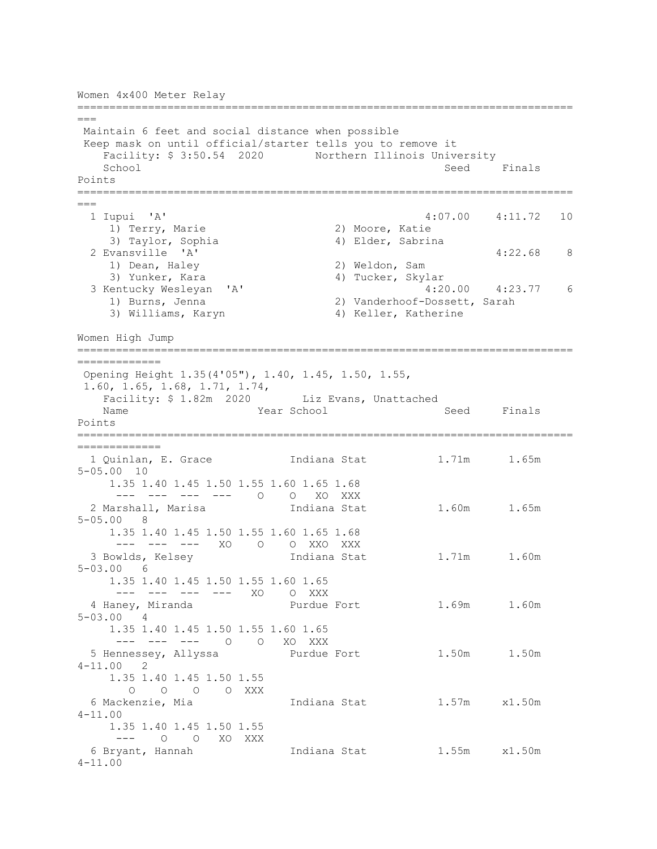```
Women 4x400 Meter Relay
=============================================================================
===
Maintain 6 feet and social distance when possible
Keep mask on until official/starter tells you to remove it
   Facility: $ 3:50.54 2020 Northern Illinois University<br>School Seed
                                                    Seed Finals
Points
=============================================================================
===
                                   4:07.00 4:11.72 10<br>2) Moore, Katie
   1) Terry, Marie<br>3) Taylor, Sophia
 3) Taylor, Sophia (4) Elder, Sabrina<br>2 Evansville 'A'
 2 Evansville 'A' 4:22.68 8 
 1) Dean, Haley 2) Weldon, Sam 
3) Yunker, Kara                           4) Tucker, Skylar
 3 Kentucky Wesleyan 'A' 4:20.00 4:23.77 6 
    1) Burns, Jenna 2) Vanderhoof-Dossett, Sarah<br>3) Williams, Karyn 3) Keller, Katherine
                                    4) Keller, Katherine
Women High Jump
=============================================================================
=============
Opening Height 1.35(4'05"), 1.40, 1.45, 1.50, 1.55,
1.60, 1.65, 1.68, 1.71, 1.74,
   Facility: $ 1.82m 2020 Liz Evans, Unattached<br>Name Year School
                                                    Seed Finals
Points
=============================================================================
=============
 1 Quinlan, E. Grace 1ndiana Stat 1.71m 1.65m
5-05.00 10 
     1.35 1.40 1.45 1.50 1.55 1.60 1.65 1.68 
     --- --- --- --- 0 0 XO XXX<br>Arshall, Marisa           Indiana Stat
 2 Marshall, Marisa Indiana Stat 1.60m 1.65m
5-05.00 8 
     1.35 1.40 1.45 1.50 1.55 1.60 1.65 1.68 
 --- --- --- XO O O XXO XXX<br>3 Bowlds, Kelsey                 Indiana Stat
                             Indiana Stat 1.71m 1.60m
5-03.00 6 
     1.35 1.40 1.45 1.50 1.55 1.60 1.65 
     --- --- --- --- XO O XXX
  4 Haney, Miranda Purdue Fort 1.69m 1.60m 
5-03.00 4 
     1.35 1.40 1.45 1.50 1.55 1.60 1.65 
 --- --- --- O O XO XXX<br>5 Hennessey, Allyssa Purdue Fort
                                            1.50m 1.50m
4-11.00 2 
     1.35 1.40 1.45 1.50 1.55 
 O O O XXX<br>6 Mackenzie, Mia
                             Indiana Stat 1.57m x1.50m
4-11.00 
    1.35 1.40 1.45 1.50 1.55 
 --- 0 0 XO XXX<br>6 Bryant, Hannah
                    Indiana Stat 1.55m x1.50m
4-11.00
```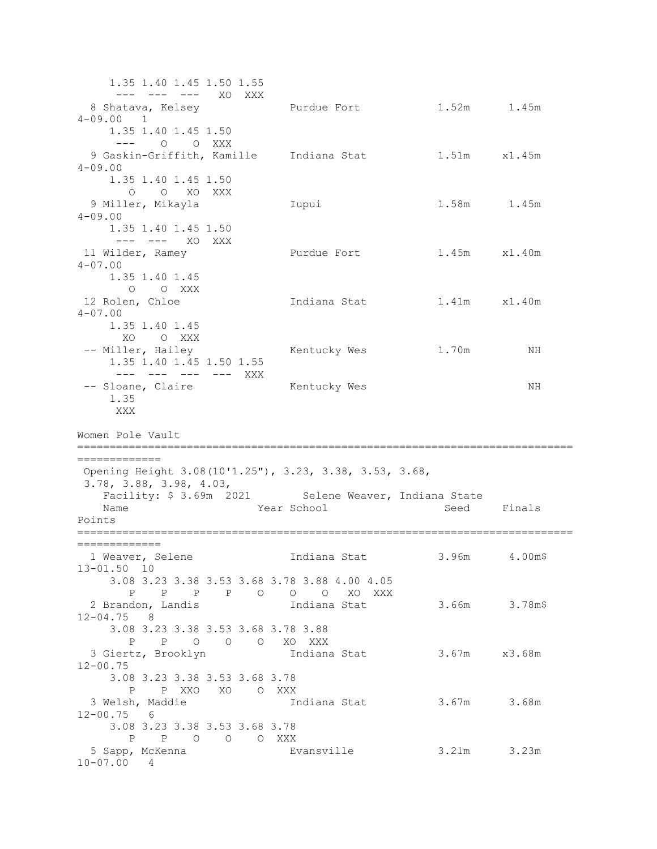1.35 1.40 1.45 1.50 1.55 --- --- --- XO XXX<br>8 Shatava, Kelsey Purdue Fort 1.52m 1.45m 4-09.00 1 1.35 1.40 1.45 1.50 --- O O XXX 9 Gaskin-Griffith, Kamille Indiana Stat 1.51m x1.45m 4-09.00 1.35 1.40 1.45 1.50 O O XO XXX 9 Miller, Mikayla Iupui 1.58m 1.45m  $4 - 09.00$  1.35 1.40 1.45 1.50 --- --- XO XXX<br>11 Wilder, Ramey Purdue Fort 1.45m x1.40m 4-07.00 1.35 1.40 1.45 O O XXX<br>12 Rolen, Chloe Indiana Stat 1.41m x1.40m 4-07.00 1.35 1.40 1.45 XO O XXX<br>-- Miller, Hailey Kentucky Wes 1.70m NH 1.35 1.40 1.45 1.50 1.55 --- --- --- --- XXX -- Sloane, Claire Mentucky Wes NH 1.35 XXX Women Pole Vault ============================================================================= ============= Opening Height 3.08(10'1.25"), 3.23, 3.38, 3.53, 3.68, 3.78, 3.88, 3.98, 4.03, Facility: \$ 3.69m 2021 Selene Weaver, Indiana State<br>Name Seed Sear School Seed Year School Seed Finals Points ============================================================================= =============<br>1 Weaver, Selene Indiana Stat 3.96m 4.00m\$ 13-01.50 10 3.08 3.23 3.38 3.53 3.68 3.78 3.88 4.00 4.05 P P P P O O O XO XXX 2 Brandon, Landis Indiana Stat 3.66m 3.78m\$ 12-04.75 8 3.08 3.23 3.38 3.53 3.68 3.78 3.88 P P O O O XO XXX Indiana Stat 3.67m x3.68m 12-00.75 3.08 3.23 3.38 3.53 3.68 3.78 P P XXO XO O XXX 3 Welsh, Maddie Indiana Stat 3.67m 3.68m 12-00.75 6 3.08 3.23 3.38 3.53 3.68 3.78 P P O O O XXX<br>5 Sapp, McKenna Bv Evansville 3.21m 3.23m 10-07.00 4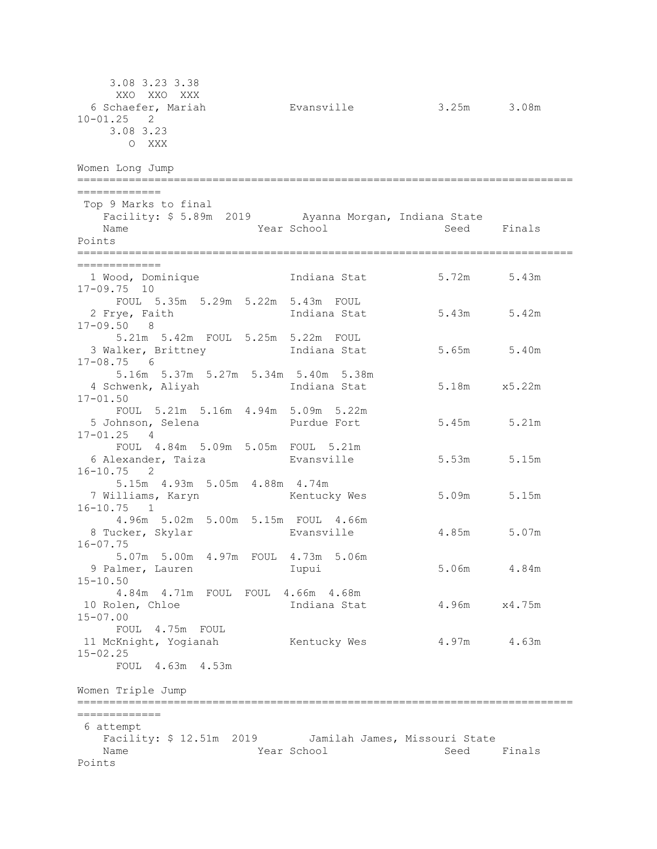3.08 3.23 3.38 XXO XXO XXX<br>6 Schaefer, Mariah Evansville 3.25m 3.08m 10-01.25 2 3.08 3.23 O XXX Women Long Jump ============================================================================= ============= Top 9 Marks to final Facility: \$ 5.89m 2019 Ayanna Morgan, Indiana State<br>Name Mame Rear School Seed Year School Seed Finals Points ============================================================================= ==============<br>1 Wood, Dominique Indiana Stat 5.72m 5.43m 17-09.75 10 FOUL 5.35m 5.29m 5.22m 5.43m FOUL 2 Frye, Faith Indiana Stat 5.43m 5.42m 17-09.50 8 5.21m 5.42m FOUL 5.25m 5.22m FOUL Indiana Stat 5.65m 5.40m 17-08.75 6 5.16m 5.37m 5.27m 5.34m 5.40m 5.38m 4 Schwenk, Aliyah Indiana Stat 5.18m x5.22m 17-01.50 FOUL 5.21m 5.16m 4.94m 5.09m 5.22m 5.45m 5.21m 17-01.25 4 FOUL 4.84m 5.09m 5.05m FOUL 5.21m 6 Alexander, Taiza Evansville 5.53m 5.15m 16-10.75 2 5.15m 4.93m 5.05m 4.88m 4.74m 7 Williams, Karyn Kentucky Wes 5.09m 5.15m 16-10.75 1 4.96m 5.02m 5.00m 5.15m FOUL 4.66m 8 Tucker, Skylar Evansville 4.85m 5.07m 16-07.75 5.07m 5.00m 4.97m FOUL 4.73m 5.06m 9 Palmer, Lauren Iupui 5.06m 4.84m 15-10.50 4.84m 4.71m FOUL FOUL 4.66m 4.68m Indiana Stat 4.96m x4.75m 15-07.00 FOUL 4.75m FOUL<br>11 McKnight, Yogianah Kentucky Wes 4.97m 4.63m 15-02.25 FOUL 4.63m 4.53m Women Triple Jump ============================================================================= ============= 6 attempt Facility: \$ 12.51m 2019 Jamilah James, Missouri State Year School Seed Finals Points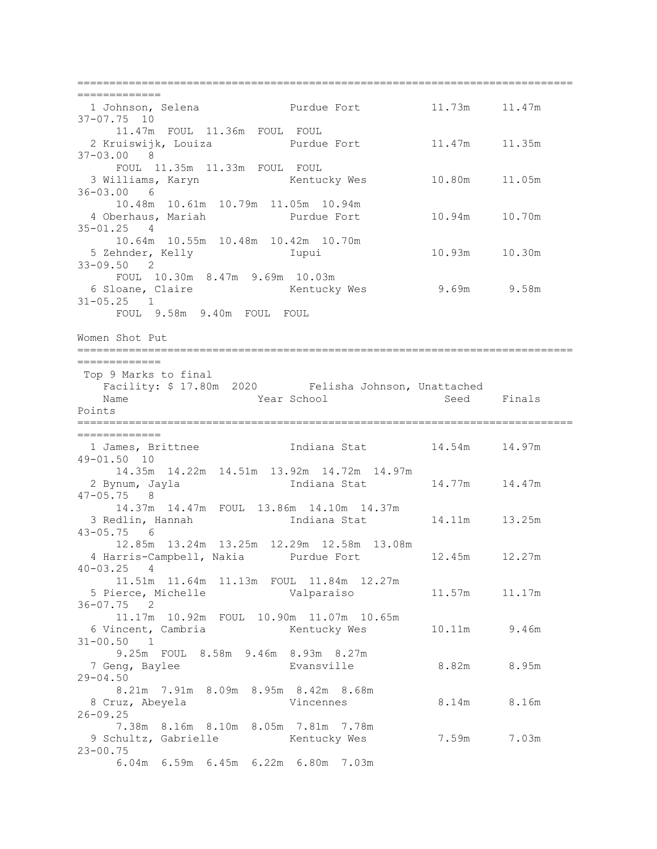============================================================================= ===============<br>1 Johnson, Selena Purdue Fort 11.73m 11.47m 37-07.75 10 11.47m FOUL 11.36m FOUL FOUL 2 Kruiswijk, Louiza Purdue Fort 11.47m 11.35m 37-03.00 8 FOUL 11.35m 11.33m FOUL FOUL 3 Williams, Karyn Kentucky Wes 10.80m 11.05m 36-03.00 6 10.48m 10.61m 10.79m 11.05m 10.94m 10.94m 10.70m 35-01.25 4 10.64m 10.55m 10.48m 10.42m 10.70m<br>5 Zehnder, Kelly 1upui 5 Zehnder, Kelly Iupui 10.93m 10.30m 33-09.50 2 FOUL 10.30m 8.47m 9.69m 10.03m<br>6 Sloane, Claire Kentucky Wes 6 Sloane, Claire Kentucky Wes 9.69m 9.58m 31-05.25 1 FOUL 9.58m 9.40m FOUL FOUL Women Shot Put ============================================================================= ============= Top 9 Marks to final Facility: \$ 17.80m 2020 Felisha Johnson, Unattached Year School Points ============================================================================= ===============<br>1 James, Brittnee Indiana Stat 14.54m 14.97m 49-01.50 10 14.35m 14.22m 14.51m 13.92m 14.72m 14.97m Indiana Stat 14.77m 14.47m 47-05.75 8 14.37m 14.47m FOUL 13.86m 14.10m 14.37m Indiana Stat 14.11m 13.25m 43-05.75 6 12.85m 13.24m 13.25m 12.29m 12.58m 13.08m 4 Harris-Campbell, Nakia Purdue Fort<br>1-03.25 4  $40 - 03.25$  11.51m 11.64m 11.13m FOUL 11.84m 12.27m 5 Pierce, Michelle Valparaiso 11.57m 11.17m 36-07.75 2 11.17m 10.92m FOUL 10.90m 11.07m 10.65m 6 Vincent, Cambria Kentucky Wes 10.11m 9.46m 31-00.50 1 9.25m FOUL 8.58m 9.46m 8.93m 8.27m 7 Geng, Baylee Evansville 8.82m 8.95m  $29 - 04.50$  8.21m 7.91m 8.09m 8.95m 8.42m 8.68m 8 Cruz, Abeyela Vincennes 8.14m 8.16m 26-09.25 7.38m 8.16m 8.10m 8.05m 7.81m 7.78m 9 Schultz, Gabrielle Kentucky Wes 7.59m 7.03m 23-00.75 6.04m 6.59m 6.45m 6.22m 6.80m 7.03m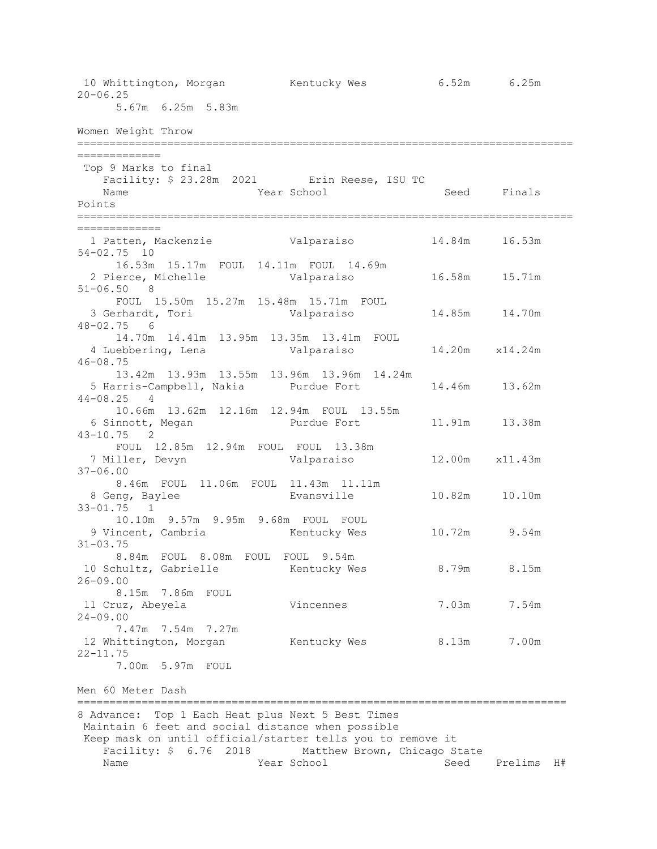10 Whittington, Morgan Kentucky Wes 6.52m 6.25m 20-06.25 5.67m 6.25m 5.83m Women Weight Throw ============================================================================= ============= Top 9 Marks to final Facility: \$ 23.28m 2021 Erin Reese, ISU TC<br>Name Year School Year School Seed Finals Points ============================================================================= ============= 1 Patten, Mackenzie Valparaiso 14.84m 16.53m 54-02.75 10 16.53m 15.17m FOUL 14.11m FOUL 14.69m 2 Pierce, Michelle Valparaiso 16.58m 15.71m 51-06.50 8 FOUL 15.50m 15.27m 15.48m 15.71m FOUL 3 Gerhardt, Tori Valparaiso 14.85m 14.70m 48-02.75 6 14.70m 14.41m 13.95m 13.35m 13.41m FOUL 4 Luebbering, Lena Valparaiso 14.20m x14.24m 46-08.75 13.42m 13.93m 13.55m 13.96m 13.96m 14.24m 5 Harris-Campbell, Nakia Purdue Fort 14.46m 13.62m  $44 - 08.25$  10.66m 13.62m 12.16m 12.94m FOUL 13.55m 11.91m 13.38m 43-10.75 2 FOUL 12.85m 12.94m FOUL FOUL 13.38m<br>7 Miller, Devyn Valparaiso 12.00m x11.43m 37-06.00 8.46m FOUL 11.06m FOUL 11.43m 11.11m<br>8 Geng, Baylee Evansville 10.82m 10.10m 33-01.75 1 10.10m 9.57m 9.95m 9.68m FOUL FOUL 9 Vincent, Cambria  $\mu$  Kentucky Wes 10.72m 9.54m 31-03.75 8.84m FOUL 8.08m FOUL FOUL 9.54m 10 Schultz, Gabrielle Kentucky Wes 8.79m 8.15m 26-09.00 8.15m 7.86m FOUL 11 Cruz, Abeyela Vincennes 7.03m 7.54m 24-09.00 7.47m 7.54m 7.27m<br>12 Whittington, Morgan Kentucky Wes 8.13m 7.00m 22-11.75 7.00m 5.97m FOUL Men 60 Meter Dash ============================================================================ 8 Advance: Top 1 Each Heat plus Next 5 Best Times Maintain 6 feet and social distance when possible Keep mask on until official/starter tells you to remove it Facility: \$ 6.76 2018 Matthew Brown, Chicago State<br>Name Matthew Brown, Chicago State<br>Seed Seed Prelims H#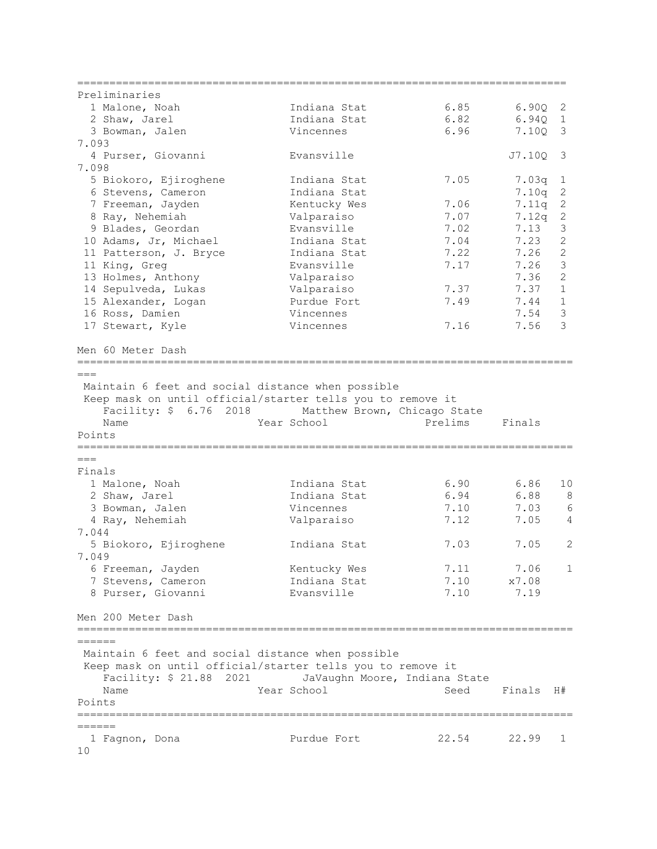| Preliminaries                                                                                                                       |                               |                                        |           |                |
|-------------------------------------------------------------------------------------------------------------------------------------|-------------------------------|----------------------------------------|-----------|----------------|
| 1 Malone, Noah                                                                                                                      | Indiana Stat                  | 6.85                                   | 6.90Q     | 2              |
| 2 Shaw, Jarel                                                                                                                       | Indiana Stat                  | 6.82                                   | 6.94Q     | $\mathbf{1}$   |
| 3 Bowman, Jalen                                                                                                                     | Vincennes                     | 6.96                                   | 7.10Q     | 3              |
| 7.093                                                                                                                               |                               |                                        |           |                |
| 4 Purser, Giovanni<br>7.098                                                                                                         | Evansville                    |                                        | J7.10Q    | 3              |
| 5 Biokoro, Ejiroghene                                                                                                               | Indiana Stat                  | 7.05                                   | 7.03q     | $\mathbf 1$    |
| 6 Stevens, Cameron                                                                                                                  | Indiana Stat                  |                                        | 7.10q     | $\mathbf{2}$   |
| 7 Freeman, Jayden                                                                                                                   | Kentucky Wes                  | 7.06                                   | 7.11q     | $\sqrt{2}$     |
| 8 Ray, Nehemiah                                                                                                                     | Valparaiso                    | 7.07                                   | 7.12q     | $\mathbf{2}$   |
| 9 Blades, Geordan                                                                                                                   | Evansville                    | 7.02                                   | 7.13      | $\mathfrak{Z}$ |
| 10 Adams, Jr, Michael                                                                                                               | Indiana Stat                  | 7.04                                   | 7.23      | $\overline{c}$ |
| 11 Patterson, J. Bryce                                                                                                              | Indiana Stat                  | 7.22                                   | 7.26      | $\mathbf{2}$   |
| 11 King, Greg                                                                                                                       | Evansville                    | 7.17                                   | 7.26      | $\mathfrak{Z}$ |
| 13 Holmes, Anthony                                                                                                                  | Valparaiso                    |                                        | 7.36      | $\overline{c}$ |
| 14 Sepulveda, Lukas                                                                                                                 | Valparaiso                    | 7.37                                   | 7.37      | $\mathbf 1$    |
| 15 Alexander, Logan                                                                                                                 | Purdue Fort                   | 7.49                                   | 7.44      | $\mathbf{1}$   |
| 16 Ross, Damien                                                                                                                     | Vincennes                     |                                        | 7.54      | 3              |
| 17 Stewart, Kyle                                                                                                                    | Vincennes                     | 7.16                                   | 7.56      | 3              |
| Men 60 Meter Dash                                                                                                                   |                               |                                        |           |                |
| ===============================<br>$===$                                                                                            |                               | ====================================== |           |                |
| Keep mask on until official/starter tells you to remove it<br>Facility: \$ 6.76 2018 Matthew Brown, Chicago State<br>Name<br>Points | Year School                   | Prelims                                | Finals    |                |
| $===$                                                                                                                               |                               |                                        |           |                |
| Finals                                                                                                                              |                               |                                        |           |                |
| 1 Malone, Noah                                                                                                                      | Indiana Stat                  | 6.90                                   | 6.86      | 10             |
| 2 Shaw, Jarel                                                                                                                       | Indiana Stat                  | 6.94                                   | 6.88      | 8              |
| 3 Bowman, Jalen                                                                                                                     | Vincennes                     | 7.10                                   | 7.03      | 6              |
| 4 Ray, Nehemiah<br>7.044                                                                                                            | Valparaiso                    | 7.12                                   | 7.05      | 4              |
| 5 Biokoro, Ejiroghene                                                                                                               | Indiana Stat                  | 7.03                                   | 7.05      | 2              |
| 7.049                                                                                                                               |                               |                                        |           |                |
| 6 Freeman, Jayden                                                                                                                   | Kentucky Wes                  | 7.11                                   | 7.06      | 1              |
| 7 Stevens, Cameron                                                                                                                  | Indiana Stat                  | 7.10                                   | x7.08     |                |
| 8 Purser, Giovanni                                                                                                                  | Evansville                    | 7.10                                   | 7.19      |                |
| Men 200 Meter Dash                                                                                                                  |                               |                                        |           |                |
| ======                                                                                                                              |                               |                                        |           |                |
| Maintain 6 feet and social distance when possible                                                                                   |                               |                                        |           |                |
| Keep mask on until official/starter tells you to remove it                                                                          |                               |                                        |           |                |
| Facility: \$ 21.88 2021                                                                                                             | JaVaughn Moore, Indiana State |                                        |           |                |
| Name                                                                                                                                | Year School                   | Seed                                   | Finals H# |                |
| Points                                                                                                                              |                               |                                        |           |                |
| ======                                                                                                                              |                               |                                        |           |                |
| 1 Fagnon, Dona                                                                                                                      | Purdue Fort                   | 22.54                                  | 22.99     | 1              |
| 10                                                                                                                                  |                               |                                        |           |                |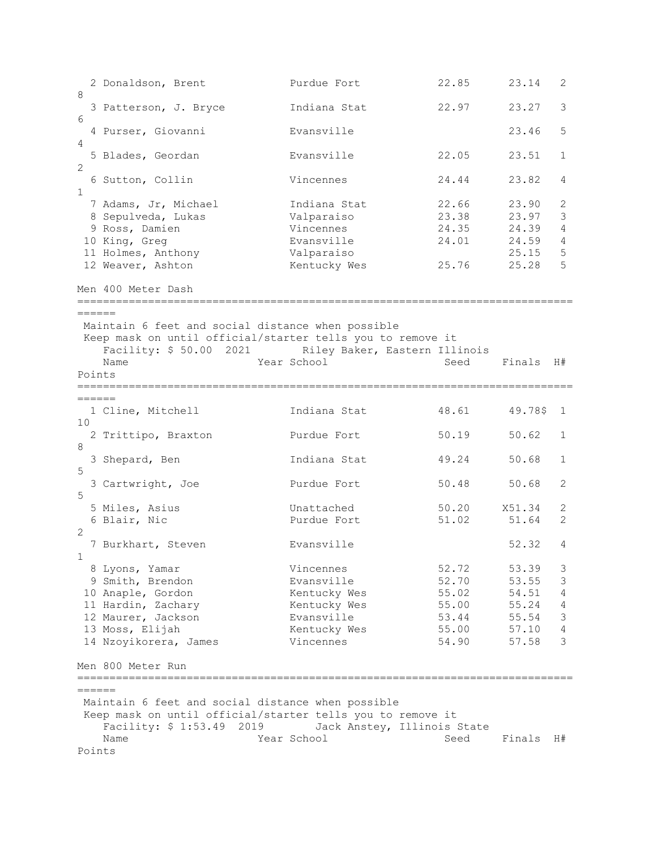2 Donaldson, Brent Purdue Fort 22.85 23.14 2 8 3 Patterson, J. Bryce Indiana Stat 22.97 23.27 3 6<br>4 Purser, Giovanni 4 Evansville 23.46 5 4<br>5 Blades, Geordan 5 Blades, Geordan Evansville 22.05 23.51 1 2 6 Sutton, Collin Vincennes 24.44 23.82 4 1 7 Adams, Jr, Michael Indiana Stat 22.66 23.90 2 1ndiana Stat  $22.66$   $23.90$  2<br>
Valparaiso  $23.38$   $23.97$  3<br>
Vincennes  $24.35$   $24.39$  4 9 Ross, Damien Vincennes 24.35 24.39 4 Evansville 24.01 24.59 4<br>
Valparaiso 25.15 5 11 Holmes, Anthony<br>12 Weaver, Ashton 12 Kentucky Wes 25.76 25.28 5 Men 400 Meter Dash =============================================================================  $------$ Maintain 6 feet and social distance when possible Keep mask on until official/starter tells you to remove it Facility: \$ 50.00 2021 Riley Baker, Eastern Illinois Name Year School Seed Finals H# Points ============================================================================= ======<br>1 Cline, Mitchell Indiana Stat 48.61 49.78\$ 1 10 2 Trittipo, Braxton Purdue Fort 50.19 50.62 1 8<br>3 Shepard, Ben Indiana Stat 49.24 50.68 1 5<br>3 Cartwright, Joe Purdue Fort 50.48 50.68 2 5 5 Miles, Asius Unattached 50.20 X51.34 2 6 Blair, Nic 2 7 Burkhart, Steven **Evansville** 52.32 4 1<br>8 Lyons, Yamar 8 Lyons, Yamar Vincennes 52.72 53.39 3 9 Smith, Brendon Evansville 52.70 53.55 3 10 Anaple, Gordon Kentucky Wes 55.02 54.51 4 11 Hardin, Zachary Kentucky Wes 55.00 55.24 4 12 Maurer, Jackson Evansville 53.44 55.54 3 13 Moss, Elijah Kentucky Wes 55.00 57.10 4 14 Nzoyikorera, James Vincennes 54.90 57.58 3 Men 800 Meter Run ============================================================================= ====== Maintain 6 feet and social distance when possible Keep mask on until official/starter tells you to remove it Facility: \$ 1:53.49 2019 Jack Anstey, Illinois State Seed Finals H# Points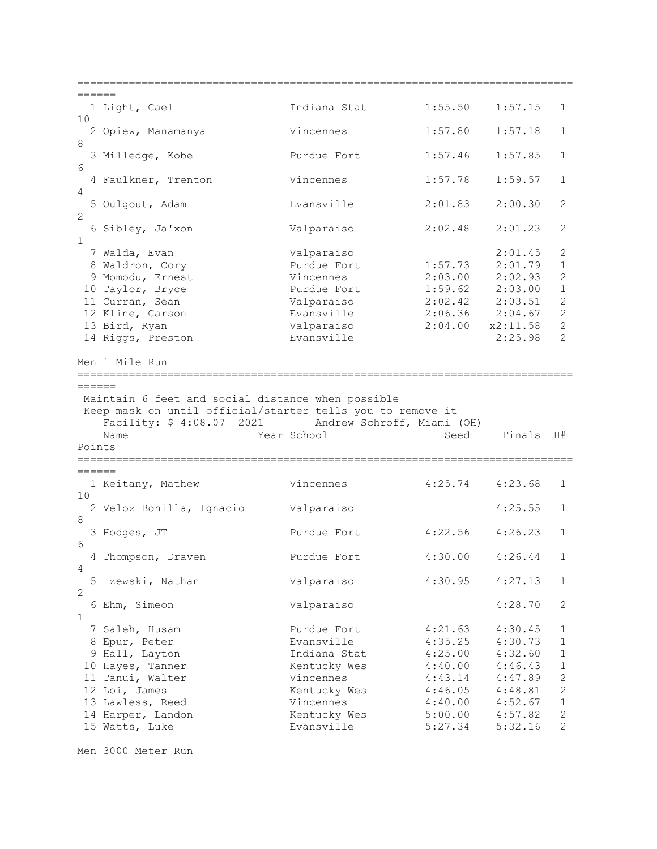============================================================================= =======<br>1 Light, Cael Indiana Stat 1:55.50 1:57.15 1 10 2 Opiew, Manamanya Vincennes 1:57.80 1:57.18 1 8 3 Milledge, Kobe Purdue Fort 1:57.46 1:57.85 1 6 4 Faulkner, Trenton Vincennes 1:57.78 1:59.57 1 4 5 Oulgout, Adam Evansville 2:01.83 2:00.30 2  $\mathcal{D}$  6 Sibley, Ja'xon Valparaiso 2:02.48 2:01.23 2 1 7 Walda, Evan Valparaiso 2:01.45 2 8 Waldron, Cory Purdue Fort 1:57.73 2:01.79 1 9 Momodu, Ernest Vincennes 2:03.00 2:02.93 2 10 Taylor, Bryce Purdue Fort 1:59.62 2:03.00 1 11 Curran, Sean Valparaiso 2:02.42 2:03.51 2 12 Kline, Carson Evansville 2:06.36 2:04.67 2 13 Bird, Ryan Valparaiso 2:04.00 x2:11.58 2 14 Riggs, Preston Evansville 2:25.98 2 Men 1 Mile Run ============================================================================= ====== Maintain 6 feet and social distance when possible Keep mask on until official/starter tells you to remove it Facility: \$ 4:08.07 2021 Andrew Schroff, Miami (OH) Year School Seed Finals H# Points ============================================================================= ======<br>1 Keitany, Mathew Vincennes 4:25.74 4:23.68 1 10 2 Veloz Bonilla, Ignacio Valparaiso 4:25.55 1 8<br>3 Hodges, JT Purdue Fort 4:22.56 4:26.23 1 6 4 Thompson, Draven Purdue Fort 4:30.00 4:26.44 1 4<br>5 Izewski, Nathan Valparaiso 4:30.95 4:27.13 1  $\mathcal{P}$  6 Ehm, Simeon Valparaiso 4:28.70 2 1<br>7 Saleh, Husam 7 Saleh, Husam Purdue Fort 4:21.63 4:30.45 1 8 Epur, Peter Evansville 4:35.25 4:30.73 1 9 Hall, Layton Indiana Stat 4:25.00 4:32.60 1 10 Hayes, Tanner Kentucky Wes 4:40.00 4:46.43 1 11 Tanui, Walter Vincennes 4:43.14 4:47.89 2 12 Loi, James Kentucky Wes 4:46.05 4:48.81 2 13 Lawless, Reed Vincennes 4:40.00 4:52.67 1 14 Harper, Landon Kentucky Wes 5:00.00 4:57.82 2 15 Watts, Luke Evansville 5:27.34 5:32.16 2

Men 3000 Meter Run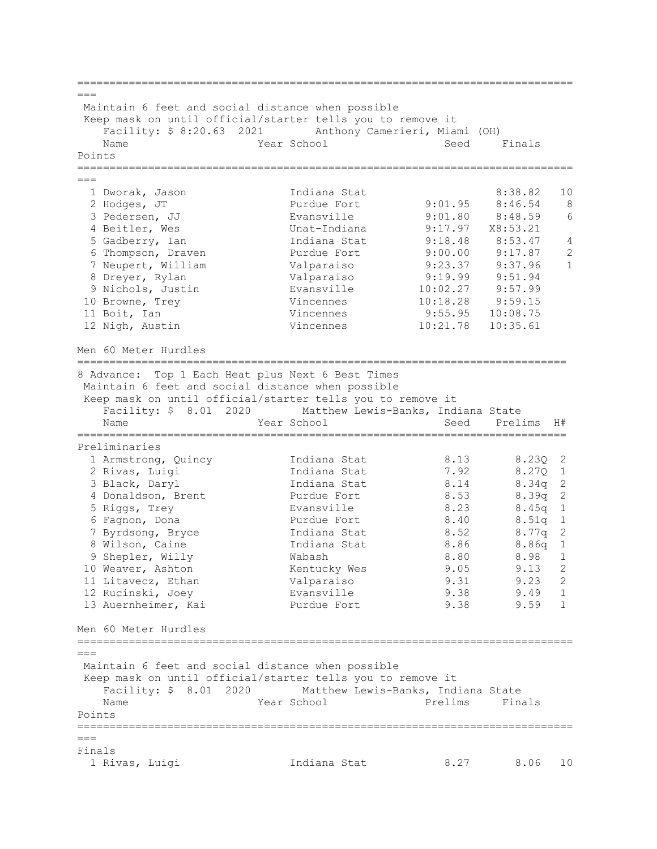| $=$ $=$ $=$     |                                                                                                                       |                            |                              |                     |                |
|-----------------|-----------------------------------------------------------------------------------------------------------------------|----------------------------|------------------------------|---------------------|----------------|
|                 | Maintain 6 feet and social distance when possible                                                                     |                            |                              |                     |                |
|                 | Keep mask on until official/starter tells you to remove it<br>Facility: \$ 8:20.63 2021 Anthony Camerieri, Miami (OH) |                            |                              |                     |                |
|                 | Name                                                                                                                  | Year School                | Seed                         | Finals              |                |
| Points          |                                                                                                                       |                            |                              |                     |                |
|                 |                                                                                                                       |                            |                              |                     |                |
|                 |                                                                                                                       |                            |                              |                     |                |
|                 | 1 Dworak, Jason                                                                                                       | Indiana Stat               |                              | 8:38.82             | 10             |
|                 | 2 Hodges, JT                                                                                                          | Purdue Fort                | 9:01.95                      | 8:46.54             | 8              |
|                 | 3 Pedersen, JJ                                                                                                        | Evansville                 | 9:01.80                      | 8:48.59             | 6              |
|                 | 4 Beitler, Wes                                                                                                        | Unat-Indiana               | 9:17.97                      | X8:53.21            |                |
|                 | 5 Gadberry, Ian                                                                                                       | Indiana Stat               | 9:18.48                      | 8:53.47             | $\overline{4}$ |
|                 | 6 Thompson, Draven                                                                                                    | Purdue Fort                | 9:00.00                      | 9:17.87             | 2              |
|                 | 7 Neupert, William                                                                                                    | Valparaiso                 | 9:23.37                      | 9:37.96             | $\mathbf{1}$   |
|                 | 8 Dreyer, Rylan                                                                                                       | Valparaiso                 | 9:19.99                      | 9:51.94             |                |
|                 | 9 Nichols, Justin                                                                                                     | Evansville<br>Vincennes    | 10:02.27                     | 9:57.99             |                |
|                 | 10 Browne, Trey<br>11 Boit, Ian                                                                                       | Vincennes                  | 10:18.28<br>9:55.95          | 9:59.15<br>10:08.75 |                |
|                 | 12 Nigh, Austin                                                                                                       | Vincennes                  | 10:21.78                     | 10:35.61            |                |
|                 |                                                                                                                       |                            |                              |                     |                |
|                 | Men 60 Meter Hurdles                                                                                                  |                            |                              |                     |                |
|                 |                                                                                                                       |                            |                              |                     |                |
|                 | 8 Advance: Top 1 Each Heat plus Next 6 Best Times<br>Maintain 6 feet and social distance when possible                |                            |                              |                     |                |
|                 | Keep mask on until official/starter tells you to remove it                                                            |                            |                              |                     |                |
|                 | Facility: \$ 8.01 2020 Matthew Lewis-Banks, Indiana State                                                             |                            |                              |                     |                |
|                 | Name                                                                                                                  | Year School                | Seed                         | Prelims             | H#             |
|                 |                                                                                                                       |                            | ;=========================== |                     |                |
|                 | Preliminaries                                                                                                         |                            |                              |                     |                |
|                 | 1 Armstrong, Quincy                                                                                                   | Indiana Stat               | 8.13                         | 8.230 2             |                |
|                 | 2 Rivas, Luigi                                                                                                        | Indiana Stat               | 7.92                         | 8.27Q               | $\mathbf{1}$   |
|                 | 3 Black, Daryl                                                                                                        | Indiana Stat               | 8.14                         | 8.34q               | $\mathbf{2}$   |
|                 | 4 Donaldson, Brent                                                                                                    | Purdue Fort                | 8.53                         | 8.39q               | 2              |
|                 | 5 Riggs, Trey                                                                                                         | Evansville                 | 8.23                         | $8.45q$ 1           |                |
|                 | 6 Fagnon, Dona                                                                                                        | Purdue Fort                | 8.40                         | 8.51q               | $1\,$          |
|                 | 7 Byrdsong, Bryce                                                                                                     | Indiana Stat               | 8.52                         | 8.77q               | 2              |
|                 | 8 Wilson, Caine                                                                                                       | Indiana Stat               | 8.86<br>8.80                 | 8.86q<br>8.98 1     | $\mathbf{1}$   |
|                 | 9 Shepler, Willy<br>10 Weaver, Ashton                                                                                 | Wabash                     | 9.05                         | 9.13                | 2              |
|                 | 11 Litavecz, Ethan                                                                                                    | Kentucky Wes<br>Valparaiso | 9.31                         | 9.23                | 2              |
|                 | 12 Rucinski, Joey                                                                                                     | Evansville                 | 9.38                         | 9.49                | 1              |
|                 | 13 Auernheimer, Kai                                                                                                   | Purdue Fort                | 9.38                         | 9.59                | 1              |
|                 |                                                                                                                       |                            |                              |                     |                |
|                 | Men 60 Meter Hurdles                                                                                                  |                            |                              |                     |                |
|                 |                                                                                                                       |                            |                              |                     |                |
| $===$           |                                                                                                                       |                            |                              |                     |                |
|                 | Maintain 6 feet and social distance when possible<br>Keep mask on until official/starter tells you to remove it       |                            |                              |                     |                |
|                 | Facility: \$ 8.01 2020 Matthew Lewis-Banks, Indiana State                                                             |                            |                              |                     |                |
|                 | Name                                                                                                                  | Year School                | Prelims                      | Finals              |                |
| Points          |                                                                                                                       |                            |                              |                     |                |
|                 |                                                                                                                       |                            |                              |                     |                |
| $===$<br>Finals |                                                                                                                       |                            |                              |                     |                |
|                 | 1 Rivas, Luigi                                                                                                        | Indiana Stat               | 8.27                         | 8.06                | 10             |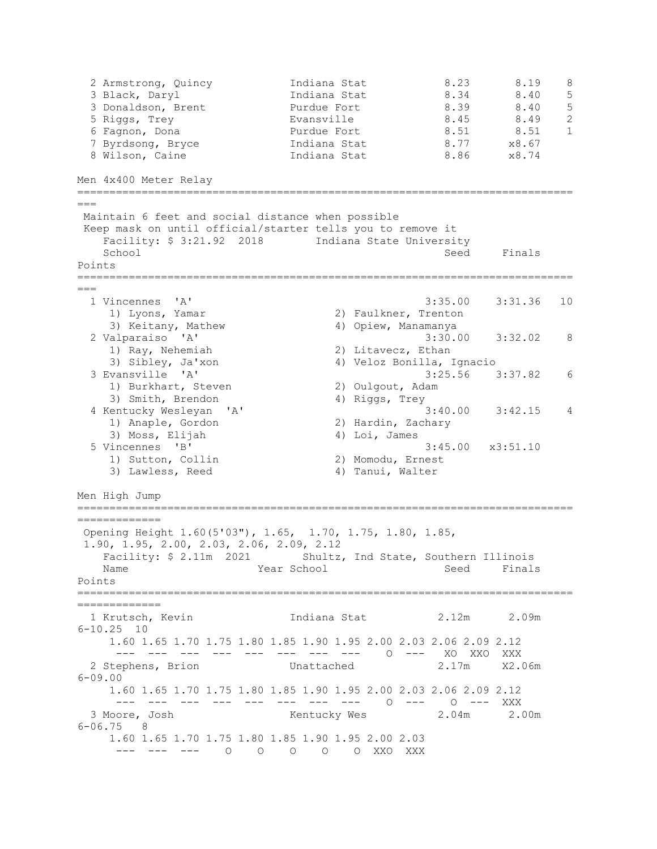| 2 Armstrong, Quincy<br>3 Black, Daryl<br>3 Donaldson, Brent<br>5 Riggs, Trey<br>6 Fagnon, Dona<br>7 Byrdsong, Bryce<br>8 Wilson, Caine                                                                   | Indiana Stat<br>Indiana Stat<br>Purdue Fort<br>Evansville<br>Purdue Fort<br>Indiana Stat<br>Indiana Stat | 8.23<br>8.34<br>8.39<br>8.45<br>8.51<br>8.77<br>8.86 | 8.19<br>8.40<br>8.40<br>8.49<br>8.51<br>x8.67<br>x8.74 | 8<br>5<br>5<br>$\overline{c}$<br>$\mathbf{1}$ |
|----------------------------------------------------------------------------------------------------------------------------------------------------------------------------------------------------------|----------------------------------------------------------------------------------------------------------|------------------------------------------------------|--------------------------------------------------------|-----------------------------------------------|
| Men 4x400 Meter Relay<br>__________________________________                                                                                                                                              |                                                                                                          |                                                      |                                                        |                                               |
| $===$                                                                                                                                                                                                    |                                                                                                          |                                                      |                                                        |                                               |
| Maintain 6 feet and social distance when possible<br>Keep mask on until official/starter tells you to remove it<br>Facility: \$ 3:21.92 2018    Indiana State University                                 |                                                                                                          |                                                      |                                                        |                                               |
| School<br>Points                                                                                                                                                                                         |                                                                                                          | Seed                                                 | Finals                                                 |                                               |
| $===$                                                                                                                                                                                                    |                                                                                                          |                                                      |                                                        |                                               |
| 1 Vincennes 'A'<br>1) Lyons, Yamar<br>3) Keitany, Mathew                                                                                                                                                 | 2) Faulkner, Trenton<br>4) Opiew, Manamanya                                                              | 3:35.00                                              | 3:31.36                                                | 10                                            |
| 2 Valparaiso 'A'<br>1) Ray, Nehemiah<br>3) Sibley, Ja'xon                                                                                                                                                | 2) Litavecz, Ethan<br>4) Veloz Bonilla, Ignacio                                                          | 3:30.00                                              | 3:32.02                                                | 8                                             |
| 3 Evansville 'A'<br>1) Burkhart, Steven<br>3) Smith, Brendon                                                                                                                                             | 2) Oulgout, Adam<br>4) Riggs, Trey                                                                       | 3:25.56                                              | 3:37.82                                                | 6                                             |
| 4 Kentucky Wesleyan<br>'A'<br>1) Anaple, Gordon<br>3) Moss, Elijah                                                                                                                                       | 2) Hardin, Zachary<br>4) Loi, James                                                                      | 3:40.00                                              | 3:42.15                                                | 4                                             |
| 5 Vincennes<br>"B"<br>1) Sutton, Collin<br>3) Lawless, Reed                                                                                                                                              | 2) Momodu, Ernest<br>4) Tanui, Walter                                                                    |                                                      | $3:45.00 \times 3:51.10$                               |                                               |
| Men High Jump                                                                                                                                                                                            |                                                                                                          |                                                      |                                                        |                                               |
| =============<br>Opening Height 1.60(5'03"), 1.65, 1.70, 1.75, 1.80, 1.85,<br>1.90, 1.95, 2.00, 2.03, 2.06, 2.09, 2.12<br>Facility: \$ 2.11m 2021 Shultz, Ind State, Southern Illinois<br>Name<br>Points | Year School                                                                                              | Seed                                                 | Finals                                                 |                                               |
| 1 Krutsch, Kevin                                                                                                                                                                                         | Indiana Stat 2.12m 2.09m                                                                                 |                                                      |                                                        |                                               |
| $6 - 10.25$ 10<br>1.60 1.65 1.70 1.75 1.80 1.85 1.90 1.95 2.00 2.03 2.06 2.09 2.12<br>--- --- --- --- --- --- --- --- 0 --- XO XXO XXX                                                                   |                                                                                                          |                                                      |                                                        |                                               |
| 2 Stephens, Brion and Unattached<br>$6 - 09.00$                                                                                                                                                          |                                                                                                          | 2.17m                                                | X2.06m                                                 |                                               |
| 1.60 1.65 1.70 1.75 1.80 1.85 1.90 1.95 2.00 2.03 2.06 2.09 2.12<br>3 Moore, Josh                                                                                                                        | --- --- --- --- --- --- --- 0 --- 0 --- XXX<br>Kentucky Wes 2.04m 2.00m                                  |                                                      |                                                        |                                               |
| $6 - 06.75$ 8<br>1.60 1.65 1.70 1.75 1.80 1.85 1.90 1.95 2.00 2.03                                                                                                                                       | --- --- 0 0 0 0 0 XXO XXX                                                                                |                                                      |                                                        |                                               |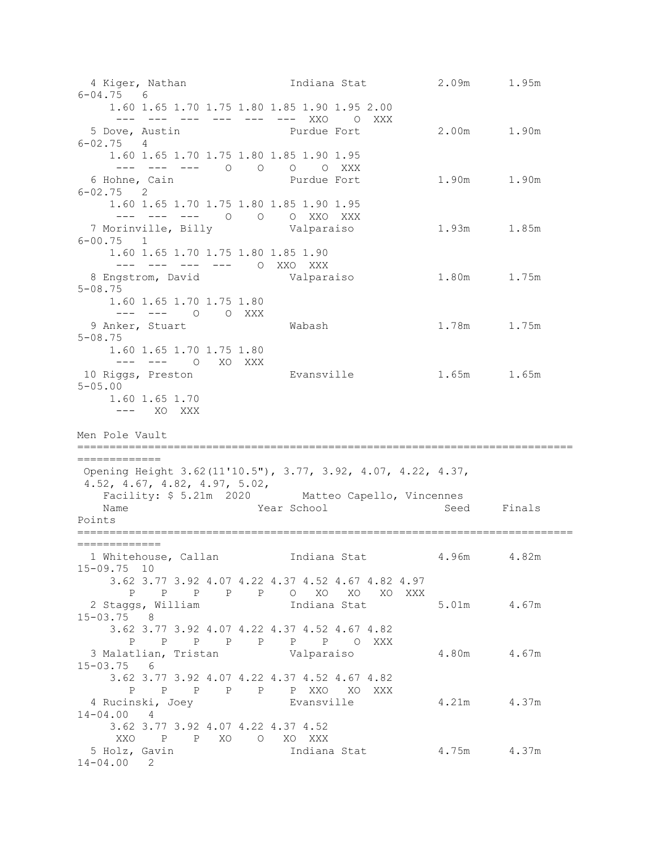4 Kiger, Nathan Indiana Stat 2.09m 1.95m 6-04.75 6 1.60 1.65 1.70 1.75 1.80 1.85 1.90 1.95 2.00 --- --- --- --- --- --- XXO O XXX<br>5 Dove, Austin Purdue Fort 2.00m 1.90m 6-02.75 4 1.60 1.65 1.70 1.75 1.80 1.85 1.90 1.95 --- --- --- O O O O XXX 1.90m 1.90m 6-02.75 2 1.60 1.65 1.70 1.75 1.80 1.85 1.90 1.95 --- --- --- O O O XXO XXX<br>--- --- --- O O O XXO XXX 7 Morinville, Billy Valparaiso 1.93m 1.85m 6-00.75 1 1.60 1.65 1.70 1.75 1.80 1.85 1.90 --- --- --- --- O XXO XXX 8 Engstrom, David Valparaiso 1.80m 1.75m 5-08.75 1.60 1.65 1.70 1.75 1.80 --- --- 0 0 XXX<br>9 Anker, Stuart 9 Anker, Stuart Wabash 1.78m 1.75m 5-08.75 1.60 1.65 1.70 1.75 1.80 --- --- 0 XO XXX<br>10 Riggs, Preston Evansville 1.65m 1.65m 5-05.00 1.60 1.65 1.70 --- XO XXX Men Pole Vault ============================================================================= ============= Opening Height 3.62(11'10.5"), 3.77, 3.92, 4.07, 4.22, 4.37, 4.52, 4.67, 4.82, 4.97, 5.02,<br>Facility: \$ 5.21m 2020 Facility: \$ 5.21m 2020 Matteo Capello, Vincennes<br>Name Mateo Capello, Seed Year School Seed Finals Points ============================================================================= ============= 1 Whitehouse, Callan Indiana Stat 4.96m 4.82m 15-09.75 10 3.62 3.77 3.92 4.07 4.22 4.37 4.52 4.67 4.82 4.97 P P P P P O XO XO XO XXX 2 Staggs, William Indiana Stat 5.01m 4.67m 15-03.75 8 3.62 3.77 3.92 4.07 4.22 4.37 4.52 4.67 4.82 P P P P P P P O XXX 3 Malatlian, Tristan Valparaiso 4.80m 4.67m 15-03.75 6 3.62 3.77 3.92 4.07 4.22 4.37 4.52 4.67 4.82 P P P P P P XXO XO XXX Evansville  $4.21m$  4.37m 14-04.00 4 3.62 3.77 3.92 4.07 4.22 4.37 4.52 XXO P P XO O XO XXX Indiana Stat 4.75m 4.37m 14-04.00 2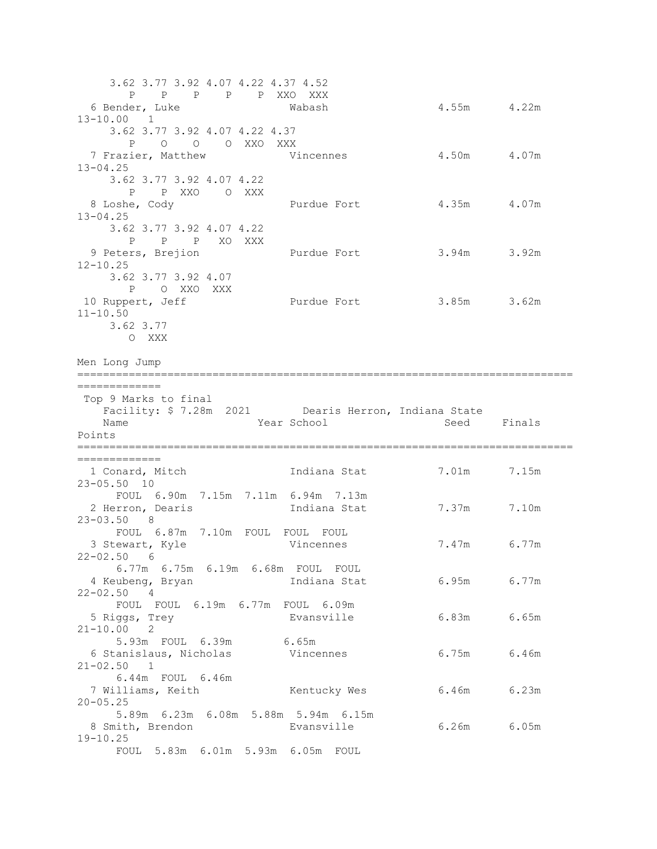3.62 3.77 3.92 4.07 4.22 4.37 4.52 P P P P P XXO XXX 4.55m 4.22m 13-10.00 1 3.62 3.77 3.92 4.07 4.22 4.37 P O O O XXO XXX 7 Frazier, Matthew  $V$ incennes  $4.50$ m  $4.07$ m 13-04.25 3.62 3.77 3.92 4.07 4.22 P P XXO O XXX 8 Loshe, Cody **Purdue Fort** 4.35m 4.07m 13-04.25 3.62 3.77 3.92 4.07 4.22 P P P XO XXX<br>9 Peters, Brejion Purdue Fort 3.94m 3.92m 12-10.25 3.62 3.77 3.92 4.07 P O XXO XXX<br>10 Ruppert, Jeff Purdue Fort 3.85m 3.62m 11-10.50 3.62 3.77 O XXX Men Long Jump ============================================================================= ============= Top 9 Marks to final Facility: \$ 7.28m 2021 Dearis Herron, Indiana State Seed Finals Points ============================================================================= ==============<br>1 Conard, Mitch Indiana Stat 7.01m 7.15m 23-05.50 10 FOUL 6.90m 7.15m 7.11m 6.94m 7.13m 2 Herron, Dearis **1ndiana Stat** 7.37m 7.10m 23-03.50 8 FOUL 6.87m 7.10m FOUL FOUL FOUL<br>3 Stewart, Kyle 6 Vincennes Vincennes 7.47m 6.77m  $22 - 02.50$  6 6.77m 6.75m 6.19m 6.68m FOUL FOUL Indiana Stat 6.95m 6.77m 22-02.50 4 FOUL FOUL 6.19m 6.77m FOUL 6.09m<br>5 Riggs, Trey By Evansville 5 Riggs, Trey Evansville 6.83m 6.65m 21-10.00 2 oc 2<br>5.93m FOUL 6.39m 6.65m<br>canislaus, Nicholas Vincennes 6 Stanislaus, Nicholas Vincennes 6.75m 6.46m 21-02.50 1 6.44m FOUL 6.46m 7 Williams, Keith Kentucky Wes 6.46m 6.23m 20-05.25 5.89m 6.23m 6.08m 5.88m 5.94m 6.15m 8 Smith, Brendon Evansville 6.26m 6.05m 19-10.25 FOUL 5.83m 6.01m 5.93m 6.05m FOUL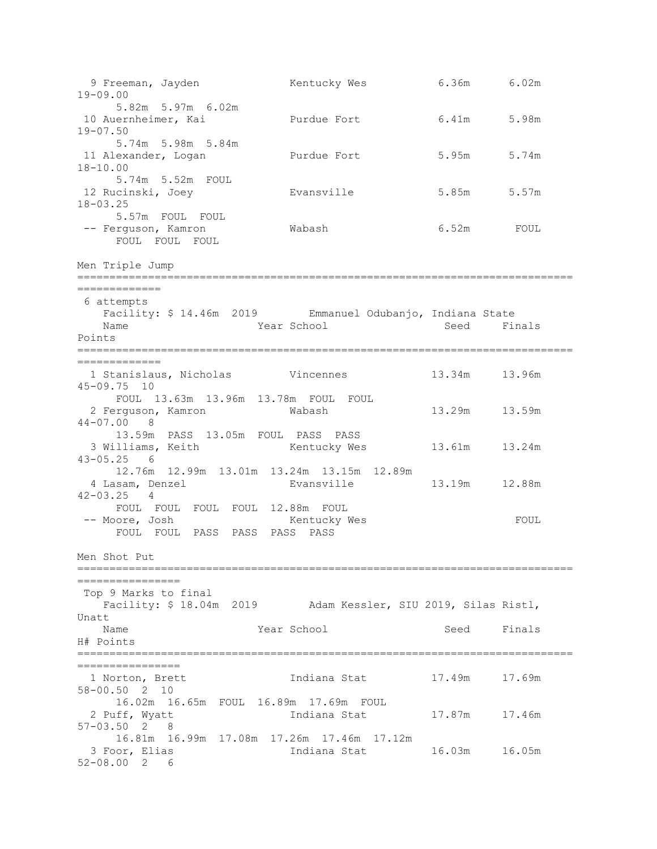9 Freeman, Jayden Kentucky Wes 6.36m 6.02m 19-09.00 5.82m 5.97m 6.02m<br>10 Auernheimer, Kai Purdue Fort 6.41m 5.98m 19-07.50 5.74m 5.98m 5.84m 11 Alexander, Logan **Purdue Fort** 5.95m 5.74m 18-10.00 5.74m 5.52m FOUL 12 Rucinski, Joey Evansville 5.85m 5.57m 18-03.25 5.57m FOUL FOUL -- Ferguson, Kamron Wabash 6.52m FOUL FOUL FOUL FOUL Men Triple Jump ============================================================================= ============= 6 attempts Facility: \$ 14.46m 2019 Emmanuel Odubanjo, Indiana State<br>Name Seed Fire School Seed Fire Seed Finals Points ============================================================================= ============= 1 Stanislaus, Nicholas Vincennes 13.34m 13.96m 45-09.75 10 FOUL 13.63m 13.96m 13.78m FOUL FOUL 2 Ferguson, Kamron Wabash 13.29m 13.59m 44-07.00 8 13.59m PASS 13.05m FOUL PASS PASS 13.61m 13.24m 43-05.25 6 12.76m 12.99m 13.01m 13.24m 13.15m 12.89m 13.19m 12.88m 42-03.25 4 FOUL FOUL FOUL FOUL 12.88m FOUL<br>-- Moore, Josh Mentucky Wes -- Moore, Josh Kentucky Wes FOUL FOUL FOUL PASS PASS PASS PASS Men Shot Put ============================================================================= ================ Top 9 Marks to final Facility: \$ 18.04m 2019 Adam Kessler, SIU 2019, Silas Ristl, Unatt Year School Seed Finals H# Points ============================================================================= ===================<br>1 Norton, Brett Indiana Stat 17.49m 17.69m 58-00.50 2 10 16.02m 16.65m FOUL 16.89m 17.69m FOUL Indiana Stat 17.87m 17.46m 57-03.50 2 8 16.81m 16.99m 17.08m 17.26m 17.46m 17.12m Indiana Stat 16.03m 16.05m 52-08.00 2 6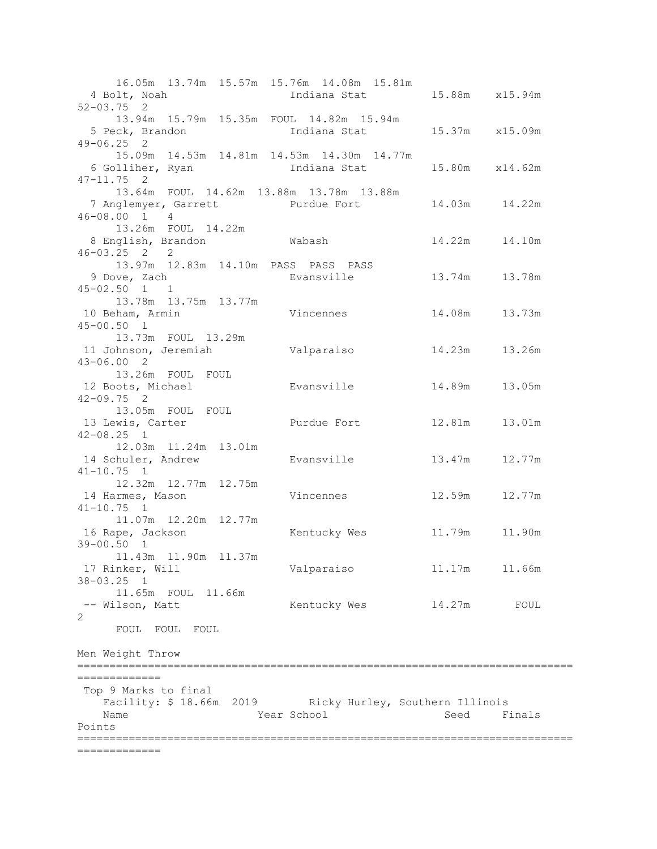16.05m 13.74m 15.57m 15.76m 14.08m 15.81m Indiana Stat 15.88m x15.94m 52-03.75 2 13.94m 15.79m 15.35m FOUL 14.82m 15.94m Indiana Stat 15.37m x15.09m 49-06.25 2 15.09m 14.53m 14.81m 14.53m 14.30m 14.77m Indiana Stat 15.80m x14.62m 47-11.75 2 13.64m FOUL 14.62m 13.88m 13.78m 13.88m 7 Anglemyer, Garrett Purdue Fort 14.03m 14.22m 46-08.00 1 4 13.26m FOUL 14.22m 8 English, Brandon Wabash 14.22m 14.10m 46-03.25 2 2 13.97m 12.83m 14.10m PASS PASS PASS<br>9 Dove, Zach By Evansville Evansville 13.74m 13.78m 45-02.50 1 1 13.78m 13.75m 13.77m<br>10 Beham, Armin Vincennes 14.08m 13.73m 45-00.50 1 13.73m FOUL 13.29m 11 Johnson, Jeremiah Valparaiso 14.23m 13.26m 43-06.00 2 13.26m FOUL FOUL 12 Boots, Michael Evansville 14.89m 13.05m 42-09.75 2 13.05m FOUL FOUL<br>13 Lewis, Carter Purdue Fort 12.81m 13.01m 42-08.25 1 12.03m 11.24m 13.01m<br>14 Schuler, Andrew Evansville 13.47m 12.77m 41-10.75 1 12.32m 12.77m 12.75m 14 Harmes, Mason Vincennes 12.59m 12.77m 41-10.75 1 11.07m 12.20m 12.77m 16 Rape, Jackson Kentucky Wes 11.79m 11.90m 39-00.50 1 11.43m 11.90m 11.37m 17 Rinker, Will Valparaiso 11.17m 11.66m 38-03.25 1 11.65m FOUL 11.66m -- Wilson, Matt Kentucky Wes 14.27m FOUL 2 FOUL FOUL FOUL Men Weight Throw ============================================================================= ============= Top 9 Marks to final Facility: \$ 18.66m 2019 Ricky Hurley, Southern Illinois Name Year School Seed Finals Points ============================================================================= =============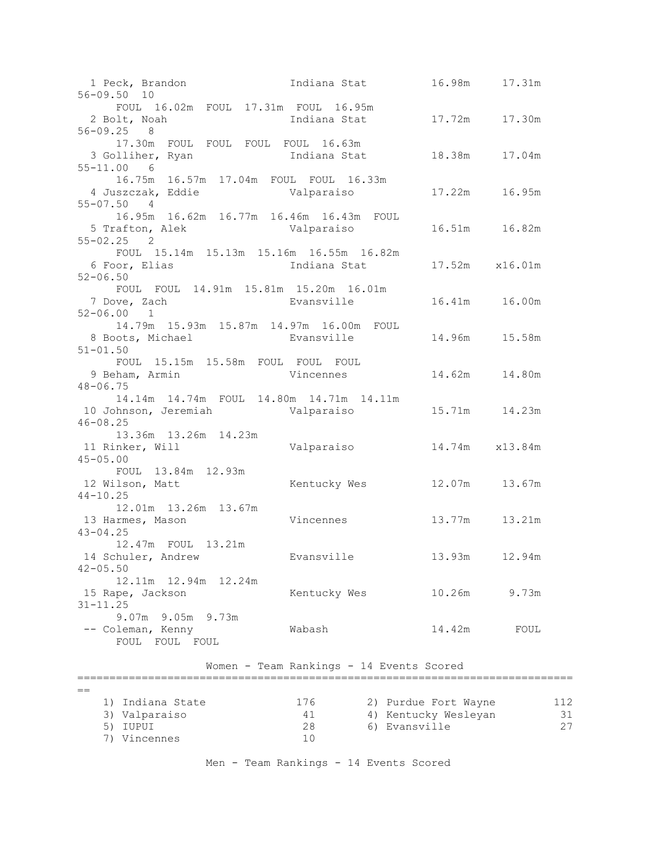1 Peck, Brandon 19, 1992 10 Indiana Stat 16.98m 17.31m 56-09.50 10 FOUL 16.02m FOUL 17.31m FOUL 16.95m 2 Bolt, Noah Indiana Stat 17.72m 17.30m 56-09.25 8 17.30m FOUL FOUL FOUL FOUL 16.63m 3 Golliher, Ryan Indiana Stat 18.38m 17.04m 55-11.00 6 16.75m 16.57m 17.04m FOUL FOUL 16.33m 4 Juszczak, Eddie Valparaiso 17.22m 16.95m  $55 - 07.50$  16.95m 16.62m 16.77m 16.46m 16.43m FOUL 5 Trafton, Alek Valparaiso 16.51m 16.82m  $55 - 02.25$  FOUL 15.14m 15.13m 15.16m 16.55m 16.82m 6 Foor, Elias Indiana Stat 17.52m x16.01m 52-06.50 FOUL FOUL 14.91m 15.81m 15.20m 16.01m<br>7 Dove, Zach Byansville Evansville 16.41m 16.00m 52-06.00 1 14.79m 15.93m 15.87m 14.97m 16.00m FOUL 8 Boots, Michael Evansville 14.96m 15.58m 51-01.50 FOUL 15.15m 15.58m FOUL FOUL FOUL Vincennes 14.62m 14.80m 48-06.75 14.14m 14.74m FOUL 14.80m 14.71m 14.11m 10 Johnson, Jeremiah Valparaiso 15.71m 14.23m 46-08.25 13.36m 13.26m 14.23m<br>11 Rinker, Will Valparaiso 14.74m x13.84m 45-05.00 FOUL 13.84m 12.93m<br>12 Wilson, Matt Kentucky Wes 12.07m 13.67m 44-10.25 12.01m 13.26m 13.67m 13 Harmes, Mason Vincennes 13.77m 13.21m 43-04.25 12.47m FOUL 13.21m 14 Schuler, Andrew Evansville 13.93m 12.94m  $42 - 05.50$ 12.11m 12.94m 12.24m<br>15 Rape, Jackson Kentucky Wes 10.26m 9.73m 31-11.25 9.07m 9.05m 9.73m<br>-- Coleman, Kenny Wabash 14.42m FOUL FOUL FOUL FOUL Women - Team Rankings - 14 Events Scored =============================================================================

| 1) Indiana State | 176 | 2) Purdue Fort Wayne | 112 |
|------------------|-----|----------------------|-----|
| 3) Valparaiso    | 41  | 4) Kentucky Wesleyan |     |
| 5) IUPUI         | 28  | 6) Evansville        |     |
| 7) Vincennes     | 1 ∩ |                      |     |

Men - Team Rankings - 14 Events Scored